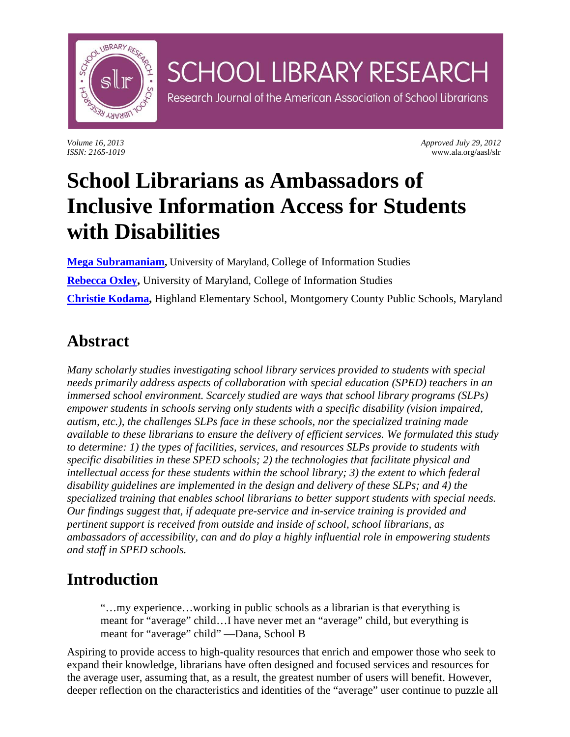

*Volume 16, 2013 Approved July 29, 2012 ISSN: 2165-1019* www.ala.org/aasl/slr

# **School Librarians as Ambassadors of Inclusive Information Access for Students with Disabilities**

**[Mega Subramaniam,](mailto:mmsubram@umd.edu)** University of Maryland, College of Information Studies **[Rebecca Oxley,](mailto:roxley47@umd.edu)** University of Maryland, College of Information Studies **[Christie Kodama,](mailto:ckodama152@yahoo.com)** Highland Elementary School, Montgomery County Public Schools, Maryland

**SCHOOL LIBRARY RESEARCH** 

Research Journal of the American Association of School Librarians

### **Abstract**

*Many scholarly studies investigating school library services provided to students with special needs primarily address aspects of collaboration with special education (SPED) teachers in an immersed school environment. Scarcely studied are ways that school library programs (SLPs) empower students in schools serving only students with a specific disability (vision impaired, autism, etc.), the challenges SLPs face in these schools, nor the specialized training made available to these librarians to ensure the delivery of efficient services. We formulated this study to determine: 1) the types of facilities, services, and resources SLPs provide to students with specific disabilities in these SPED schools; 2) the technologies that facilitate physical and intellectual access for these students within the school library; 3) the extent to which federal disability guidelines are implemented in the design and delivery of these SLPs; and 4) the specialized training that enables school librarians to better support students with special needs. Our findings suggest that, if adequate pre-service and in-service training is provided and pertinent support is received from outside and inside of school, school librarians, as ambassadors of accessibility, can and do play a highly influential role in empowering students and staff in SPED schools.* 

## **Introduction**

"…my experience…working in public schools as a librarian is that everything is meant for "average" child…I have never met an "average" child, but everything is meant for "average" child" —Dana, School B

Aspiring to provide access to high-quality resources that enrich and empower those who seek to expand their knowledge, librarians have often designed and focused services and resources for the average user, assuming that, as a result, the greatest number of users will benefit. However, deeper reflection on the characteristics and identities of the "average" user continue to puzzle all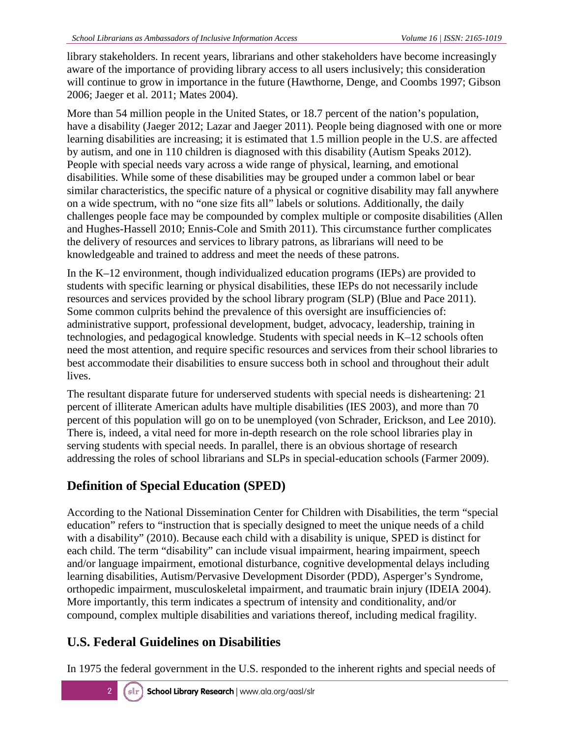library stakeholders. In recent years, librarians and other stakeholders have become increasingly aware of the importance of providing library access to all users inclusively; this consideration will continue to grow in importance in the future (Hawthorne, Denge, and Coombs 1997; Gibson 2006; Jaeger et al. 2011; Mates 2004).

More than 54 million people in the United States, or 18.7 percent of the nation's population, have a disability (Jaeger 2012; Lazar and Jaeger 2011). People being diagnosed with one or more learning disabilities are increasing; it is estimated that 1.5 million people in the U.S. are affected by autism, and one in 110 children is diagnosed with this disability (Autism Speaks 2012). People with special needs vary across a wide range of physical, learning, and emotional disabilities. While some of these disabilities may be grouped under a common label or bear similar characteristics, the specific nature of a physical or cognitive disability may fall anywhere on a wide spectrum, with no "one size fits all" labels or solutions. Additionally, the daily challenges people face may be compounded by complex multiple or composite disabilities (Allen and Hughes-Hassell 2010; Ennis-Cole and Smith 2011). This circumstance further complicates the delivery of resources and services to library patrons, as librarians will need to be knowledgeable and trained to address and meet the needs of these patrons.

In the K–12 environment, though individualized education programs (IEPs) are provided to students with specific learning or physical disabilities, these IEPs do not necessarily include resources and services provided by the school library program (SLP) (Blue and Pace 2011). Some common culprits behind the prevalence of this oversight are insufficiencies of: administrative support, professional development, budget, advocacy, leadership, training in technologies, and pedagogical knowledge. Students with special needs in K–12 schools often need the most attention, and require specific resources and services from their school libraries to best accommodate their disabilities to ensure success both in school and throughout their adult lives.

The resultant disparate future for underserved students with special needs is disheartening: 21 percent of illiterate American adults have multiple disabilities (IES 2003), and more than 70 percent of this population will go on to be unemployed (von Schrader, Erickson, and Lee 2010). There is, indeed, a vital need for more in-depth research on the role school libraries play in serving students with special needs. In parallel, there is an obvious shortage of research addressing the roles of school librarians and SLPs in special-education schools (Farmer 2009).

### **Definition of Special Education (SPED)**

According to the National Dissemination Center for Children with Disabilities, the term "special education" refers to "instruction that is specially designed to meet the unique needs of a child with a disability" (2010). Because each child with a disability is unique, SPED is distinct for each child. The term "disability" can include visual impairment, hearing impairment, speech and/or language impairment, emotional disturbance, cognitive developmental delays including learning disabilities, Autism/Pervasive Development Disorder (PDD), Asperger's Syndrome, orthopedic impairment, musculoskeletal impairment, and traumatic brain injury (IDEIA 2004). More importantly, this term indicates a spectrum of intensity and conditionality, and/or compound, complex multiple disabilities and variations thereof, including medical fragility.

### **U.S. Federal Guidelines on Disabilities**

In 1975 the federal government in the U.S. responded to the inherent rights and special needs of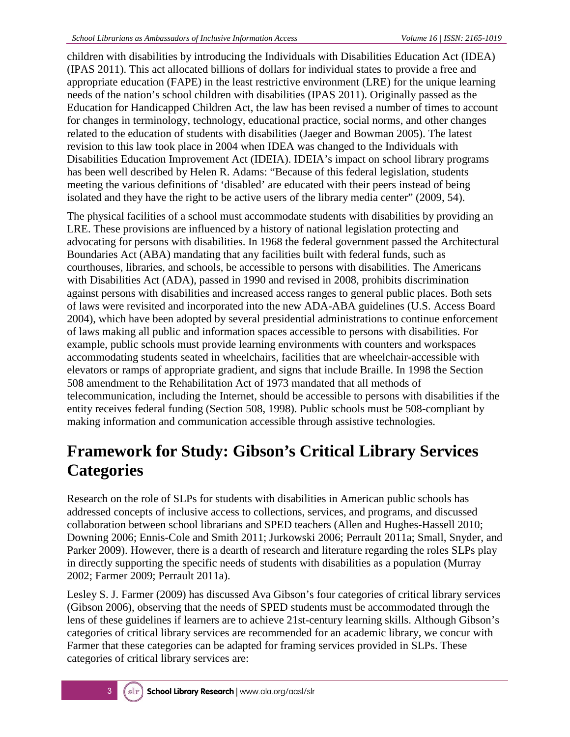children with disabilities by introducing the Individuals with Disabilities Education Act (IDEA) (IPAS 2011). This act allocated billions of dollars for individual states to provide a free and appropriate education (FAPE) in the least restrictive environment (LRE) for the unique learning needs of the nation's school children with disabilities (IPAS 2011). Originally passed as the Education for Handicapped Children Act, the law has been revised a number of times to account for changes in terminology, technology, educational practice, social norms, and other changes related to the education of students with disabilities (Jaeger and Bowman 2005). The latest revision to this law took place in 2004 when IDEA was changed to the Individuals with Disabilities Education Improvement Act (IDEIA). IDEIA's impact on school library programs has been well described by Helen R. Adams: "Because of this federal legislation, students meeting the various definitions of 'disabled' are educated with their peers instead of being isolated and they have the right to be active users of the library media center" (2009, 54).

The physical facilities of a school must accommodate students with disabilities by providing an LRE. These provisions are influenced by a history of national legislation protecting and advocating for persons with disabilities. In 1968 the federal government passed the Architectural Boundaries Act (ABA) mandating that any facilities built with federal funds, such as courthouses, libraries, and schools, be accessible to persons with disabilities. The Americans with Disabilities Act (ADA), passed in 1990 and revised in 2008, prohibits discrimination against persons with disabilities and increased access ranges to general public places. Both sets of laws were revisited and incorporated into the new ADA-ABA guidelines (U.S. Access Board 2004), which have been adopted by several presidential administrations to continue enforcement of laws making all public and information spaces accessible to persons with disabilities. For example, public schools must provide learning environments with counters and workspaces accommodating students seated in wheelchairs, facilities that are wheelchair-accessible with elevators or ramps of appropriate gradient, and signs that include Braille. In 1998 the Section 508 amendment to the Rehabilitation Act of 1973 mandated that all methods of telecommunication, including the Internet, should be accessible to persons with disabilities if the entity receives federal funding (Section 508, 1998). Public schools must be 508-compliant by making information and communication accessible through assistive technologies.

## **Framework for Study: Gibson's Critical Library Services Categories**

Research on the role of SLPs for students with disabilities in American public schools has addressed concepts of inclusive access to collections, services, and programs, and discussed collaboration between school librarians and SPED teachers (Allen and Hughes-Hassell 2010; Downing 2006; Ennis-Cole and Smith 2011; Jurkowski 2006; Perrault 2011a; Small, Snyder, and Parker 2009). However, there is a dearth of research and literature regarding the roles SLPs play in directly supporting the specific needs of students with disabilities as a population (Murray 2002; Farmer 2009; Perrault 2011a).

Lesley S. J. Farmer (2009) has discussed Ava Gibson's four categories of critical library services (Gibson 2006), observing that the needs of SPED students must be accommodated through the lens of these guidelines if learners are to achieve 21st-century learning skills. Although Gibson's categories of critical library services are recommended for an academic library, we concur with Farmer that these categories can be adapted for framing services provided in SLPs. These categories of critical library services are: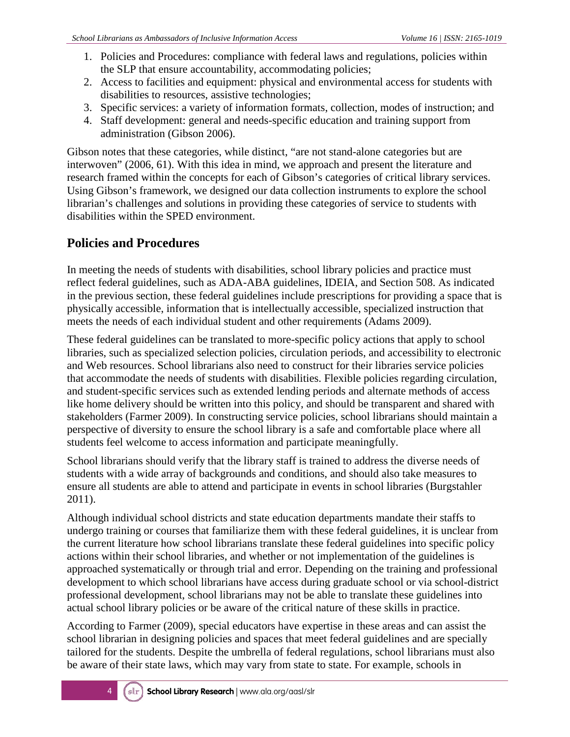- 1. Policies and Procedures: compliance with federal laws and regulations, policies within the SLP that ensure accountability, accommodating policies;
- 2. Access to facilities and equipment: physical and environmental access for students with disabilities to resources, assistive technologies;
- 3. Specific services: a variety of information formats, collection, modes of instruction; and
- 4. Staff development: general and needs-specific education and training support from administration (Gibson 2006).

Gibson notes that these categories, while distinct, "are not stand-alone categories but are interwoven" (2006, 61). With this idea in mind, we approach and present the literature and research framed within the concepts for each of Gibson's categories of critical library services. Using Gibson's framework, we designed our data collection instruments to explore the school librarian's challenges and solutions in providing these categories of service to students with disabilities within the SPED environment.

### **Policies and Procedures**

In meeting the needs of students with disabilities, school library policies and practice must reflect federal guidelines, such as ADA-ABA guidelines, IDEIA, and Section 508. As indicated in the previous section, these federal guidelines include prescriptions for providing a space that is physically accessible, information that is intellectually accessible, specialized instruction that meets the needs of each individual student and other requirements (Adams 2009).

These federal guidelines can be translated to more-specific policy actions that apply to school libraries, such as specialized selection policies, circulation periods, and accessibility to electronic and Web resources. School librarians also need to construct for their libraries service policies that accommodate the needs of students with disabilities. Flexible policies regarding circulation, and student-specific services such as extended lending periods and alternate methods of access like home delivery should be written into this policy, and should be transparent and shared with stakeholders (Farmer 2009). In constructing service policies, school librarians should maintain a perspective of diversity to ensure the school library is a safe and comfortable place where all students feel welcome to access information and participate meaningfully.

School librarians should verify that the library staff is trained to address the diverse needs of students with a wide array of backgrounds and conditions, and should also take measures to ensure all students are able to attend and participate in events in school libraries (Burgstahler 2011).

Although individual school districts and state education departments mandate their staffs to undergo training or courses that familiarize them with these federal guidelines, it is unclear from the current literature how school librarians translate these federal guidelines into specific policy actions within their school libraries, and whether or not implementation of the guidelines is approached systematically or through trial and error. Depending on the training and professional development to which school librarians have access during graduate school or via school-district professional development, school librarians may not be able to translate these guidelines into actual school library policies or be aware of the critical nature of these skills in practice.

According to Farmer (2009), special educators have expertise in these areas and can assist the school librarian in designing policies and spaces that meet federal guidelines and are specially tailored for the students. Despite the umbrella of federal regulations, school librarians must also be aware of their state laws, which may vary from state to state. For example, schools in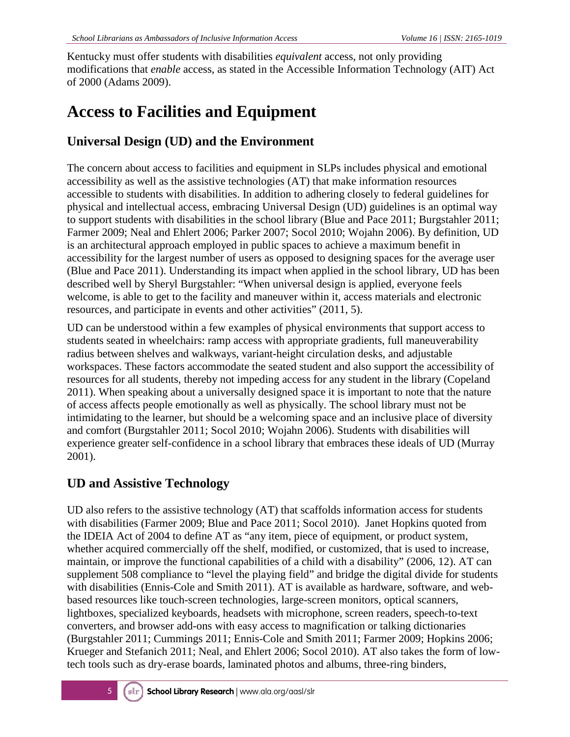Kentucky must offer students with disabilities *equivalent* access, not only providing modifications that *enable* access, as stated in the Accessible Information Technology (AIT) Act of 2000 (Adams 2009).

### **Access to Facilities and Equipment**

#### **Universal Design (UD) and the Environment**

The concern about access to facilities and equipment in SLPs includes physical and emotional accessibility as well as the assistive technologies (AT) that make information resources accessible to students with disabilities. In addition to adhering closely to federal guidelines for physical and intellectual access, embracing Universal Design (UD) guidelines is an optimal way to support students with disabilities in the school library (Blue and Pace 2011; Burgstahler 2011; Farmer 2009; Neal and Ehlert 2006; Parker 2007; Socol 2010; Wojahn 2006). By definition, UD is an architectural approach employed in public spaces to achieve a maximum benefit in accessibility for the largest number of users as opposed to designing spaces for the average user (Blue and Pace 2011). Understanding its impact when applied in the school library, UD has been described well by Sheryl Burgstahler: "When universal design is applied, everyone feels welcome, is able to get to the facility and maneuver within it, access materials and electronic resources, and participate in events and other activities" (2011, 5).

UD can be understood within a few examples of physical environments that support access to students seated in wheelchairs: ramp access with appropriate gradients, full maneuverability radius between shelves and walkways, variant-height circulation desks, and adjustable workspaces. These factors accommodate the seated student and also support the accessibility of resources for all students, thereby not impeding access for any student in the library (Copeland 2011). When speaking about a universally designed space it is important to note that the nature of access affects people emotionally as well as physically. The school library must not be intimidating to the learner, but should be a welcoming space and an inclusive place of diversity and comfort (Burgstahler 2011; Socol 2010; Wojahn 2006). Students with disabilities will experience greater self-confidence in a school library that embraces these ideals of UD (Murray 2001).

#### **UD and Assistive Technology**

UD also refers to the assistive technology (AT) that scaffolds information access for students with disabilities (Farmer 2009; Blue and Pace 2011; Socol 2010). Janet Hopkins quoted from the IDEIA Act of 2004 to define AT as "any item, piece of equipment, or product system, whether acquired commercially off the shelf, modified, or customized, that is used to increase, maintain, or improve the functional capabilities of a child with a disability" (2006, 12). AT can supplement 508 compliance to "level the playing field" and bridge the digital divide for students with disabilities (Ennis-Cole and Smith 2011). AT is available as hardware, software, and webbased resources like touch-screen technologies, large-screen monitors, optical scanners, lightboxes, specialized keyboards, headsets with microphone, screen readers, speech-to-text converters, and browser add-ons with easy access to magnification or talking dictionaries (Burgstahler 2011; Cummings 2011; Ennis-Cole and Smith 2011; Farmer 2009; Hopkins 2006; Krueger and Stefanich 2011; Neal, and Ehlert 2006; Socol 2010). AT also takes the form of lowtech tools such as dry-erase boards, laminated photos and albums, three-ring binders,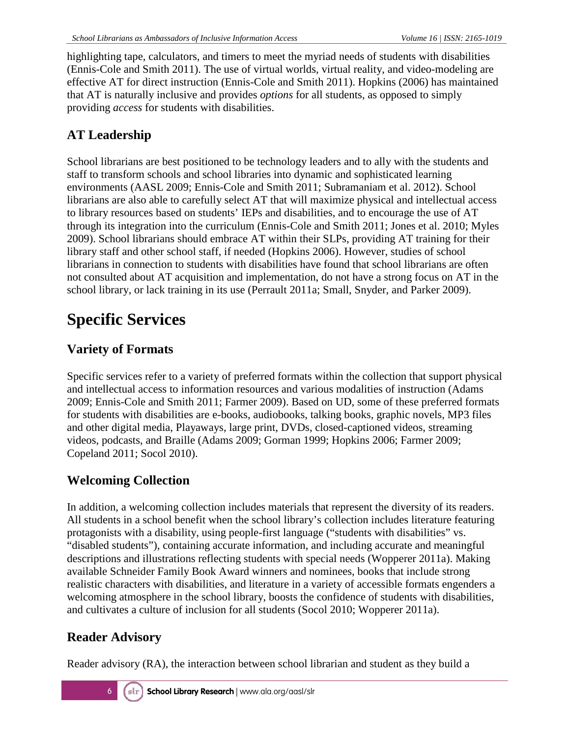highlighting tape, calculators, and timers to meet the myriad needs of students with disabilities (Ennis-Cole and Smith 2011). The use of virtual worlds, virtual reality, and video-modeling are effective AT for direct instruction (Ennis-Cole and Smith 2011). Hopkins (2006) has maintained that AT is naturally inclusive and provides *options* for all students, as opposed to simply providing *access* for students with disabilities.

### **AT Leadership**

School librarians are best positioned to be technology leaders and to ally with the students and staff to transform schools and school libraries into dynamic and sophisticated learning environments (AASL 2009; Ennis-Cole and Smith 2011; Subramaniam et al. 2012). School librarians are also able to carefully select AT that will maximize physical and intellectual access to library resources based on students' IEPs and disabilities, and to encourage the use of AT through its integration into the curriculum (Ennis-Cole and Smith 2011; Jones et al. 2010; Myles 2009). School librarians should embrace AT within their SLPs, providing AT training for their library staff and other school staff, if needed (Hopkins 2006). However, studies of school librarians in connection to students with disabilities have found that school librarians are often not consulted about AT acquisition and implementation, do not have a strong focus on AT in the school library, or lack training in its use (Perrault 2011a; Small, Snyder, and Parker 2009).

## **Specific Services**

### **Variety of Formats**

Specific services refer to a variety of preferred formats within the collection that support physical and intellectual access to information resources and various modalities of instruction (Adams 2009; Ennis-Cole and Smith 2011; Farmer 2009). Based on UD, some of these preferred formats for students with disabilities are e-books, audiobooks, talking books, graphic novels, MP3 files and other digital media, Playaways, large print, DVDs, closed-captioned videos, streaming videos, podcasts, and Braille (Adams 2009; Gorman 1999; Hopkins 2006; Farmer 2009; Copeland 2011; Socol 2010).

### **Welcoming Collection**

In addition, a welcoming collection includes materials that represent the diversity of its readers. All students in a school benefit when the school library's collection includes literature featuring protagonists with a disability, using people-first language ("students with disabilities" vs. "disabled students"), containing accurate information, and including accurate and meaningful descriptions and illustrations reflecting students with special needs (Wopperer 2011a). Making available Schneider Family Book Award winners and nominees, books that include strong realistic characters with disabilities, and literature in a variety of accessible formats engenders a welcoming atmosphere in the school library, boosts the confidence of students with disabilities, and cultivates a culture of inclusion for all students (Socol 2010; Wopperer 2011a).

### **Reader Advisory**

Reader advisory (RA), the interaction between school librarian and student as they build a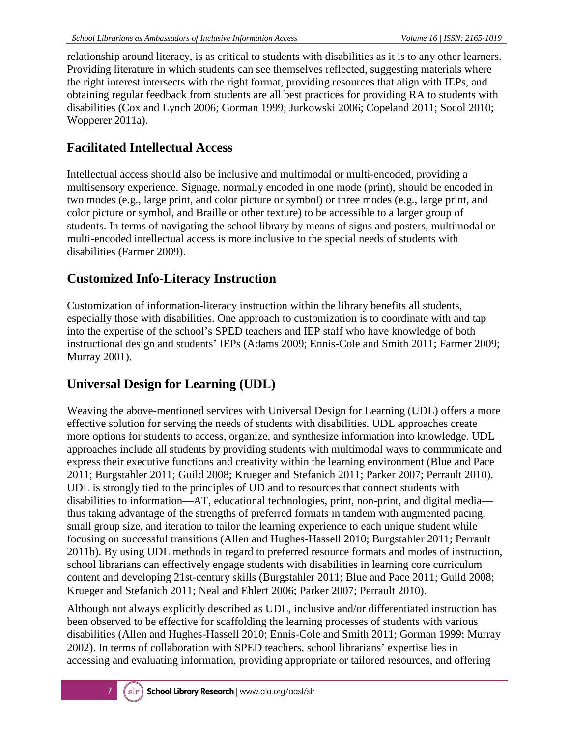relationship around literacy, is as critical to students with disabilities as it is to any other learners. Providing literature in which students can see themselves reflected, suggesting materials where the right interest intersects with the right format, providing resources that align with IEPs, and obtaining regular feedback from students are all best practices for providing RA to students with disabilities (Cox and Lynch 2006; Gorman 1999; Jurkowski 2006; Copeland 2011; Socol 2010; Wopperer 2011a).

#### **Facilitated Intellectual Access**

Intellectual access should also be inclusive and multimodal or multi-encoded, providing a multisensory experience. Signage, normally encoded in one mode (print), should be encoded in two modes (e.g., large print, and color picture or symbol) or three modes (e.g., large print, and color picture or symbol, and Braille or other texture) to be accessible to a larger group of students. In terms of navigating the school library by means of signs and posters, multimodal or multi-encoded intellectual access is more inclusive to the special needs of students with disabilities (Farmer 2009).

### **Customized Info-Literacy Instruction**

Customization of information-literacy instruction within the library benefits all students, especially those with disabilities. One approach to customization is to coordinate with and tap into the expertise of the school's SPED teachers and IEP staff who have knowledge of both instructional design and students' IEPs (Adams 2009; Ennis-Cole and Smith 2011; Farmer 2009; Murray 2001).

### **Universal Design for Learning (UDL)**

Weaving the above-mentioned services with Universal Design for Learning (UDL) offers a more effective solution for serving the needs of students with disabilities. UDL approaches create more options for students to access, organize, and synthesize information into knowledge. UDL approaches include all students by providing students with multimodal ways to communicate and express their executive functions and creativity within the learning environment (Blue and Pace 2011; Burgstahler 2011; Guild 2008; Krueger and Stefanich 2011; Parker 2007; Perrault 2010). UDL is strongly tied to the principles of UD and to resources that connect students with disabilities to information—AT, educational technologies, print, non-print, and digital media thus taking advantage of the strengths of preferred formats in tandem with augmented pacing, small group size, and iteration to tailor the learning experience to each unique student while focusing on successful transitions (Allen and Hughes-Hassell 2010; Burgstahler 2011; Perrault 2011b). By using UDL methods in regard to preferred resource formats and modes of instruction, school librarians can effectively engage students with disabilities in learning core curriculum content and developing 21st-century skills (Burgstahler 2011; Blue and Pace 2011; Guild 2008; Krueger and Stefanich 2011; Neal and Ehlert 2006; Parker 2007; Perrault 2010).

Although not always explicitly described as UDL, inclusive and/or differentiated instruction has been observed to be effective for scaffolding the learning processes of students with various disabilities (Allen and Hughes-Hassell 2010; Ennis-Cole and Smith 2011; Gorman 1999; Murray 2002). In terms of collaboration with SPED teachers, school librarians' expertise lies in accessing and evaluating information, providing appropriate or tailored resources, and offering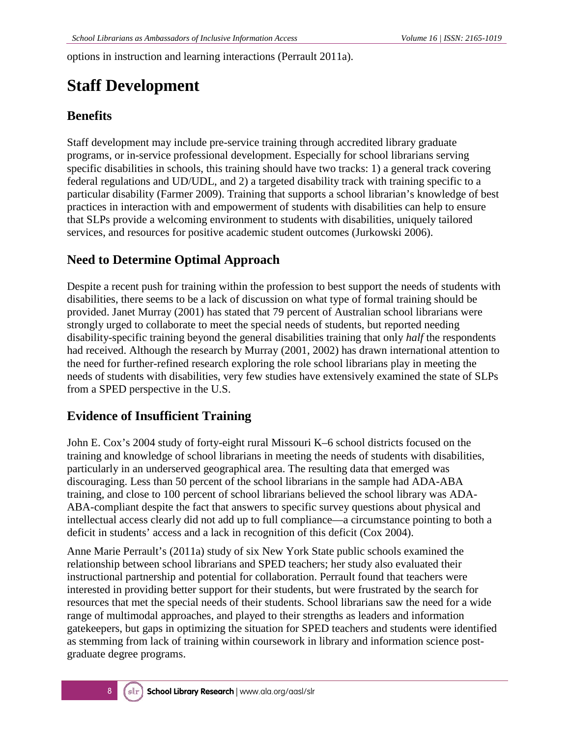options in instruction and learning interactions (Perrault 2011a).

## **Staff Development**

#### **Benefits**

Staff development may include pre-service training through accredited library graduate programs, or in-service professional development. Especially for school librarians serving specific disabilities in schools, this training should have two tracks: 1) a general track covering federal regulations and UD/UDL, and 2) a targeted disability track with training specific to a particular disability (Farmer 2009). Training that supports a school librarian's knowledge of best practices in interaction with and empowerment of students with disabilities can help to ensure that SLPs provide a welcoming environment to students with disabilities, uniquely tailored services, and resources for positive academic student outcomes (Jurkowski 2006).

#### **Need to Determine Optimal Approach**

Despite a recent push for training within the profession to best support the needs of students with disabilities, there seems to be a lack of discussion on what type of formal training should be provided. Janet Murray (2001) has stated that 79 percent of Australian school librarians were strongly urged to collaborate to meet the special needs of students, but reported needing disability-specific training beyond the general disabilities training that only *half* the respondents had received. Although the research by Murray (2001, 2002) has drawn international attention to the need for further-refined research exploring the role school librarians play in meeting the needs of students with disabilities, very few studies have extensively examined the state of SLPs from a SPED perspective in the U.S.

#### **Evidence of Insufficient Training**

John E. Cox's 2004 study of forty-eight rural Missouri K–6 school districts focused on the training and knowledge of school librarians in meeting the needs of students with disabilities, particularly in an underserved geographical area. The resulting data that emerged was discouraging. Less than 50 percent of the school librarians in the sample had ADA-ABA training, and close to 100 percent of school librarians believed the school library was ADA-ABA-compliant despite the fact that answers to specific survey questions about physical and intellectual access clearly did not add up to full compliance—a circumstance pointing to both a deficit in students' access and a lack in recognition of this deficit (Cox 2004).

Anne Marie Perrault's (2011a) study of six New York State public schools examined the relationship between school librarians and SPED teachers; her study also evaluated their instructional partnership and potential for collaboration. Perrault found that teachers were interested in providing better support for their students, but were frustrated by the search for resources that met the special needs of their students. School librarians saw the need for a wide range of multimodal approaches, and played to their strengths as leaders and information gatekeepers, but gaps in optimizing the situation for SPED teachers and students were identified as stemming from lack of training within coursework in library and information science postgraduate degree programs.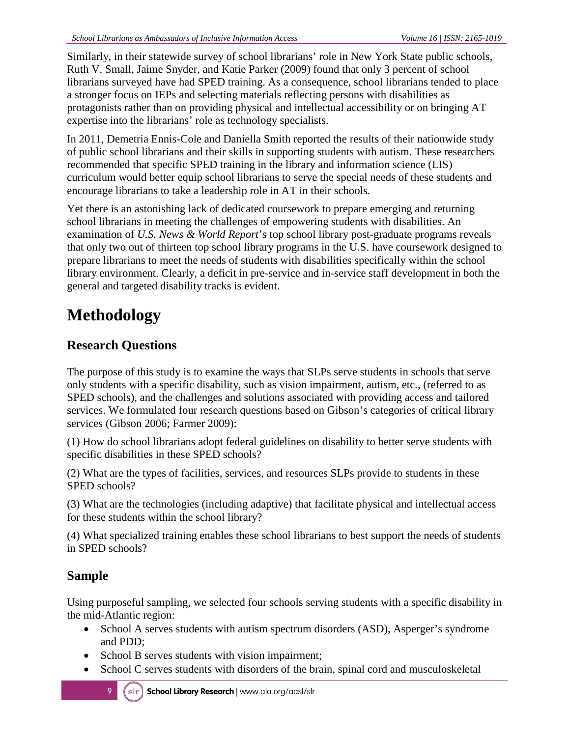Similarly, in their statewide survey of school librarians' role in New York State public schools, Ruth V. Small, Jaime Snyder, and Katie Parker (2009) found that only 3 percent of school librarians surveyed have had SPED training. As a consequence, school librarians tended to place a stronger focus on IEPs and selecting materials reflecting persons with disabilities as protagonists rather than on providing physical and intellectual accessibility or on bringing AT expertise into the librarians' role as technology specialists.

In 2011, Demetria Ennis-Cole and Daniella Smith reported the results of their nationwide study of public school librarians and their skills in supporting students with autism. These researchers recommended that specific SPED training in the library and information science (LIS) curriculum would better equip school librarians to serve the special needs of these students and encourage librarians to take a leadership role in AT in their schools.

Yet there is an astonishing lack of dedicated coursework to prepare emerging and returning school librarians in meeting the challenges of empowering students with disabilities. An examination of *U.S. News & World Report*'s top school library post-graduate programs reveals that only two out of thirteen top school library programs in the U.S. have coursework designed to prepare librarians to meet the needs of students with disabilities specifically within the school library environment. Clearly, a deficit in pre-service and in-service staff development in both the general and targeted disability tracks is evident.

## **Methodology**

#### **Research Questions**

The purpose of this study is to examine the ways that SLPs serve students in schools that serve only students with a specific disability, such as vision impairment, autism, etc., (referred to as SPED schools), and the challenges and solutions associated with providing access and tailored services. We formulated four research questions based on Gibson's categories of critical library services (Gibson 2006; Farmer 2009):

(1) How do school librarians adopt federal guidelines on disability to better serve students with specific disabilities in these SPED schools?

(2) What are the types of facilities, services, and resources SLPs provide to students in these SPED schools?

(3) What are the technologies (including adaptive) that facilitate physical and intellectual access for these students within the school library?

(4) What specialized training enables these school librarians to best support the needs of students in SPED schools?

### **Sample**

Using purposeful sampling, we selected four schools serving students with a specific disability in the mid-Atlantic region:

- School A serves students with autism spectrum disorders (ASD), Asperger's syndrome and PDD;
- School B serves students with vision impairment;
- School C serves students with disorders of the brain, spinal cord and musculoskeletal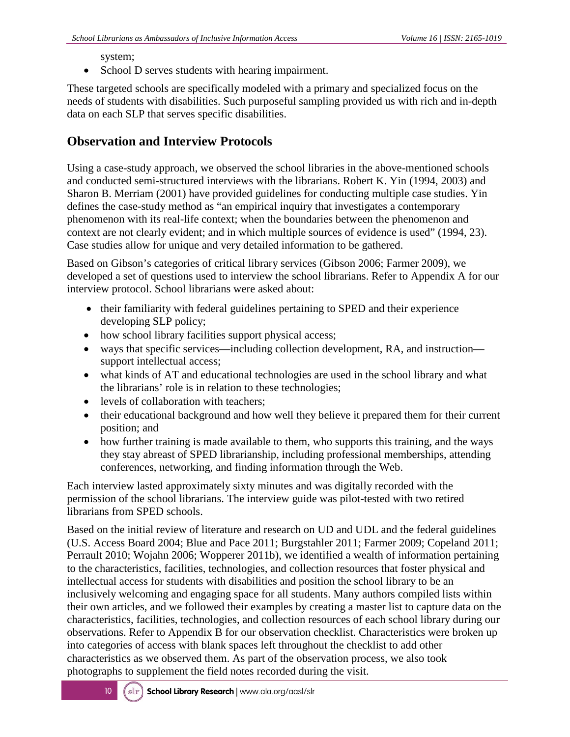system;

• School D serves students with hearing impairment.

These targeted schools are specifically modeled with a primary and specialized focus on the needs of students with disabilities. Such purposeful sampling provided us with rich and in-depth data on each SLP that serves specific disabilities.

#### **Observation and Interview Protocols**

Using a case-study approach, we observed the school libraries in the above-mentioned schools and conducted semi-structured interviews with the librarians. Robert K. Yin (1994, 2003) and Sharon B. Merriam (2001) have provided guidelines for conducting multiple case studies. Yin defines the case-study method as "an empirical inquiry that investigates a contemporary phenomenon with its real-life context; when the boundaries between the phenomenon and context are not clearly evident; and in which multiple sources of evidence is used" (1994, 23). Case studies allow for unique and very detailed information to be gathered.

Based on Gibson's categories of critical library services (Gibson 2006; Farmer 2009), we developed a set of questions used to interview the school librarians. Refer to Appendix A for our interview protocol. School librarians were asked about:

- their familiarity with federal guidelines pertaining to SPED and their experience developing SLP policy;
- how school library facilities support physical access;
- ways that specific services—including collection development, RA, and instruction support intellectual access;
- what kinds of AT and educational technologies are used in the school library and what the librarians' role is in relation to these technologies;
- levels of collaboration with teachers;
- their educational background and how well they believe it prepared them for their current position; and
- how further training is made available to them, who supports this training, and the ways they stay abreast of SPED librarianship, including professional memberships, attending conferences, networking, and finding information through the Web.

Each interview lasted approximately sixty minutes and was digitally recorded with the permission of the school librarians. The interview guide was pilot-tested with two retired librarians from SPED schools.

Based on the initial review of literature and research on UD and UDL and the federal guidelines (U.S. Access Board 2004; Blue and Pace 2011; Burgstahler 2011; Farmer 2009; Copeland 2011; Perrault 2010; Wojahn 2006; Wopperer 2011b), we identified a wealth of information pertaining to the characteristics, facilities, technologies, and collection resources that foster physical and intellectual access for students with disabilities and position the school library to be an inclusively welcoming and engaging space for all students. Many authors compiled lists within their own articles, and we followed their examples by creating a master list to capture data on the characteristics, facilities, technologies, and collection resources of each school library during our observations. Refer to Appendix B for our observation checklist. Characteristics were broken up into categories of access with blank spaces left throughout the checklist to add other characteristics as we observed them. As part of the observation process, we also took photographs to supplement the field notes recorded during the visit.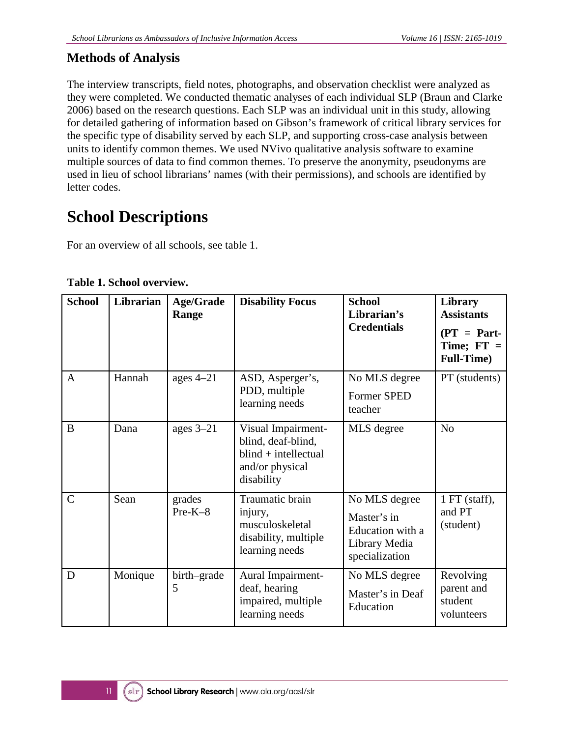#### **Methods of Analysis**

The interview transcripts, field notes, photographs, and observation checklist were analyzed as they were completed. We conducted thematic analyses of each individual SLP (Braun and Clarke 2006) based on the research questions. Each SLP was an individual unit in this study, allowing for detailed gathering of information based on Gibson's framework of critical library services for the specific type of disability served by each SLP, and supporting cross-case analysis between units to identify common themes. We used NVivo qualitative analysis software to examine multiple sources of data to find common themes. To preserve the anonymity, pseudonyms are used in lieu of school librarians' names (with their permissions), and schools are identified by letter codes.

### **School Descriptions**

For an overview of all schools, see table 1.

| <b>School</b>  | <b>Librarian</b> | <b>Age/Grade</b><br>Range | <b>Disability Focus</b>                                                                             | <b>School</b><br>Librarian's<br><b>Credentials</b>                                  | Library<br><b>Assistants</b><br>$(PT = Part-$<br>Time; $FT =$<br><b>Full-Time)</b> |
|----------------|------------------|---------------------------|-----------------------------------------------------------------------------------------------------|-------------------------------------------------------------------------------------|------------------------------------------------------------------------------------|
| $\mathsf{A}$   | Hannah           | ages $4-21$               | ASD, Asperger's,<br>PDD, multiple<br>learning needs                                                 | No MLS degree<br>Former SPED<br>teacher                                             | PT (students)                                                                      |
| B              | Dana             | ages $3-21$               | Visual Impairment-<br>blind, deaf-blind,<br>$blind + intellectual$<br>and/or physical<br>disability | MLS degree                                                                          | N <sub>o</sub>                                                                     |
| $\overline{C}$ | Sean             | grades<br>$Pre-K-8$       | Traumatic brain<br>injury,<br>musculoskeletal<br>disability, multiple<br>learning needs             | No MLS degree<br>Master's in<br>Education with a<br>Library Media<br>specialization | 1 FT (staff),<br>and PT<br>(student)                                               |
| D              | Monique          | birth-grade<br>5          | Aural Impairment-<br>deaf, hearing<br>impaired, multiple<br>learning needs                          | No MLS degree<br>Master's in Deaf<br>Education                                      | Revolving<br>parent and<br>student<br>volunteers                                   |

#### **Table 1. School overview.**

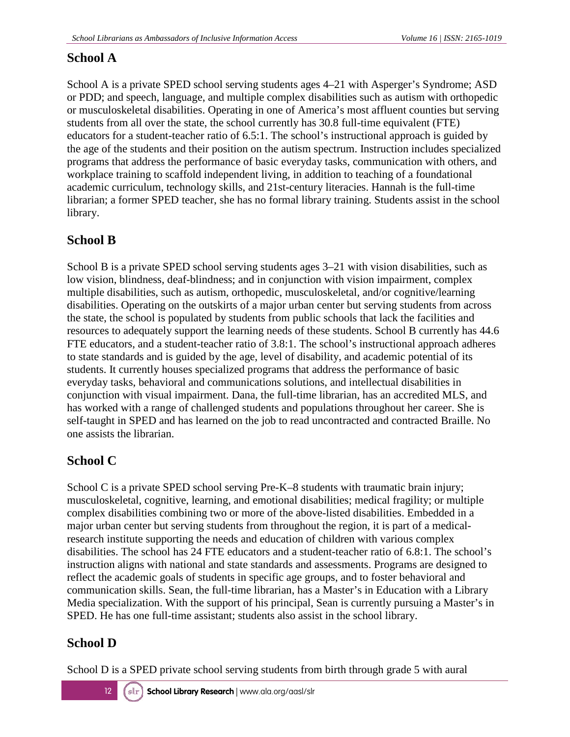#### **School A**

School A is a private SPED school serving students ages 4–21 with Asperger's Syndrome; ASD or PDD; and speech, language, and multiple complex disabilities such as autism with orthopedic or musculoskeletal disabilities. Operating in one of America's most affluent counties but serving students from all over the state, the school currently has 30.8 full-time equivalent (FTE) educators for a student-teacher ratio of 6.5:1. The school's instructional approach is guided by the age of the students and their position on the autism spectrum. Instruction includes specialized programs that address the performance of basic everyday tasks, communication with others, and workplace training to scaffold independent living, in addition to teaching of a foundational academic curriculum, technology skills, and 21st-century literacies. Hannah is the full-time librarian; a former SPED teacher, she has no formal library training. Students assist in the school library.

#### **School B**

School B is a private SPED school serving students ages  $3-21$  with vision disabilities, such as low vision, blindness, deaf-blindness; and in conjunction with vision impairment, complex multiple disabilities, such as autism, orthopedic, musculoskeletal, and/or cognitive/learning disabilities. Operating on the outskirts of a major urban center but serving students from across the state, the school is populated by students from public schools that lack the facilities and resources to adequately support the learning needs of these students. School B currently has 44.6 FTE educators, and a student-teacher ratio of 3.8:1. The school's instructional approach adheres to state standards and is guided by the age, level of disability, and academic potential of its students. It currently houses specialized programs that address the performance of basic everyday tasks, behavioral and communications solutions, and intellectual disabilities in conjunction with visual impairment. Dana, the full-time librarian, has an accredited MLS, and has worked with a range of challenged students and populations throughout her career. She is self-taught in SPED and has learned on the job to read uncontracted and contracted Braille. No one assists the librarian.

#### **School C**

School C is a private SPED school serving Pre-K–8 students with traumatic brain injury; musculoskeletal, cognitive, learning, and emotional disabilities; medical fragility; or multiple complex disabilities combining two or more of the above-listed disabilities. Embedded in a major urban center but serving students from throughout the region, it is part of a medicalresearch institute supporting the needs and education of children with various complex disabilities. The school has 24 FTE educators and a student-teacher ratio of 6.8:1. The school's instruction aligns with national and state standards and assessments. Programs are designed to reflect the academic goals of students in specific age groups, and to foster behavioral and communication skills. Sean, the full-time librarian, has a Master's in Education with a Library Media specialization. With the support of his principal, Sean is currently pursuing a Master's in SPED. He has one full-time assistant; students also assist in the school library.

#### **School D**

School D is a SPED private school serving students from birth through grade 5 with aural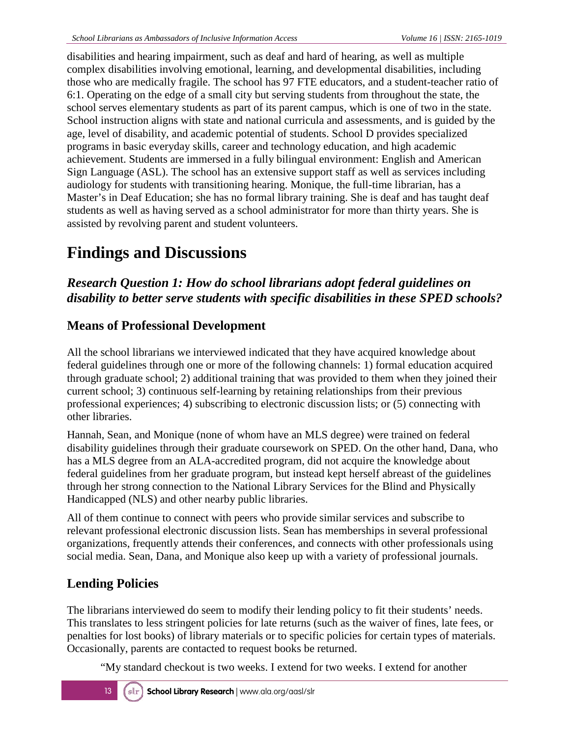disabilities and hearing impairment, such as deaf and hard of hearing, as well as multiple complex disabilities involving emotional, learning, and developmental disabilities, including those who are medically fragile. The school has 97 FTE educators, and a student-teacher ratio of 6:1. Operating on the edge of a small city but serving students from throughout the state, the school serves elementary students as part of its parent campus, which is one of two in the state. School instruction aligns with state and national curricula and assessments, and is guided by the age, level of disability, and academic potential of students. School D provides specialized programs in basic everyday skills, career and technology education, and high academic achievement. Students are immersed in a fully bilingual environment: English and American Sign Language (ASL). The school has an extensive support staff as well as services including audiology for students with transitioning hearing. Monique, the full-time librarian, has a Master's in Deaf Education; she has no formal library training. She is deaf and has taught deaf students as well as having served as a school administrator for more than thirty years. She is assisted by revolving parent and student volunteers.

## **Findings and Discussions**

#### *Research Question 1: How do school librarians adopt federal guidelines on disability to better serve students with specific disabilities in these SPED schools?*

#### **Means of Professional Development**

All the school librarians we interviewed indicated that they have acquired knowledge about federal guidelines through one or more of the following channels: 1) formal education acquired through graduate school; 2) additional training that was provided to them when they joined their current school; 3) continuous self-learning by retaining relationships from their previous professional experiences; 4) subscribing to electronic discussion lists; or (5) connecting with other libraries.

Hannah, Sean, and Monique (none of whom have an MLS degree) were trained on federal disability guidelines through their graduate coursework on SPED. On the other hand, Dana, who has a MLS degree from an ALA-accredited program, did not acquire the knowledge about federal guidelines from her graduate program, but instead kept herself abreast of the guidelines through her strong connection to the National Library Services for the Blind and Physically Handicapped (NLS) and other nearby public libraries.

All of them continue to connect with peers who provide similar services and subscribe to relevant professional electronic discussion lists. Sean has memberships in several professional organizations, frequently attends their conferences, and connects with other professionals using social media. Sean, Dana, and Monique also keep up with a variety of professional journals.

### **Lending Policies**

The librarians interviewed do seem to modify their lending policy to fit their students' needs. This translates to less stringent policies for late returns (such as the waiver of fines, late fees, or penalties for lost books) of library materials or to specific policies for certain types of materials. Occasionally, parents are contacted to request books be returned.

"My standard checkout is two weeks. I extend for two weeks. I extend for another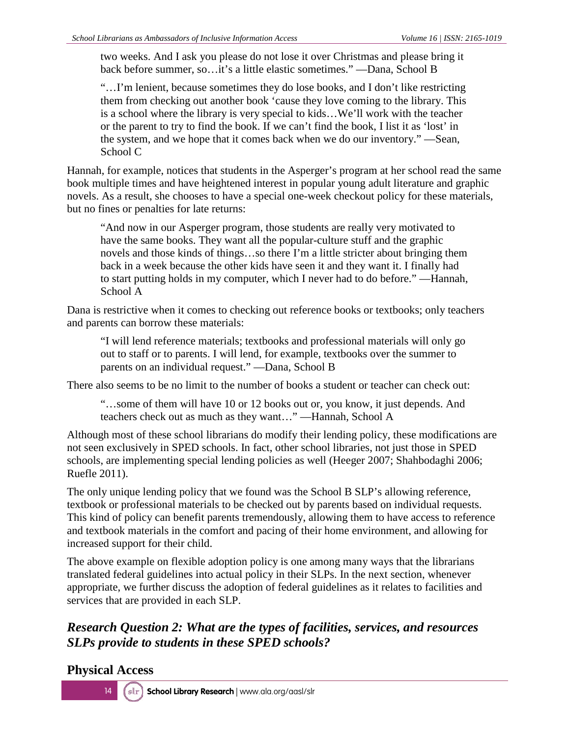two weeks. And I ask you please do not lose it over Christmas and please bring it back before summer, so…it's a little elastic sometimes." —Dana, School B

"…I'm lenient, because sometimes they do lose books, and I don't like restricting them from checking out another book 'cause they love coming to the library. This is a school where the library is very special to kids…We'll work with the teacher or the parent to try to find the book. If we can't find the book, I list it as 'lost' in the system, and we hope that it comes back when we do our inventory." —Sean, School C

Hannah, for example, notices that students in the Asperger's program at her school read the same book multiple times and have heightened interest in popular young adult literature and graphic novels. As a result, she chooses to have a special one-week checkout policy for these materials, but no fines or penalties for late returns:

"And now in our Asperger program, those students are really very motivated to have the same books. They want all the popular-culture stuff and the graphic novels and those kinds of things…so there I'm a little stricter about bringing them back in a week because the other kids have seen it and they want it. I finally had to start putting holds in my computer, which I never had to do before." —Hannah, School A

Dana is restrictive when it comes to checking out reference books or textbooks; only teachers and parents can borrow these materials:

"I will lend reference materials; textbooks and professional materials will only go out to staff or to parents. I will lend, for example, textbooks over the summer to parents on an individual request." —Dana, School B

There also seems to be no limit to the number of books a student or teacher can check out:

"…some of them will have 10 or 12 books out or, you know, it just depends. And teachers check out as much as they want…" —Hannah, School A

Although most of these school librarians do modify their lending policy, these modifications are not seen exclusively in SPED schools. In fact, other school libraries, not just those in SPED schools, are implementing special lending policies as well (Heeger 2007; Shahbodaghi 2006; Ruefle 2011).

The only unique lending policy that we found was the School B SLP's allowing reference, textbook or professional materials to be checked out by parents based on individual requests. This kind of policy can benefit parents tremendously, allowing them to have access to reference and textbook materials in the comfort and pacing of their home environment, and allowing for increased support for their child.

The above example on flexible adoption policy is one among many ways that the librarians translated federal guidelines into actual policy in their SLPs. In the next section, whenever appropriate, we further discuss the adoption of federal guidelines as it relates to facilities and services that are provided in each SLP.

#### *Research Question 2: What are the types of facilities, services, and resources SLPs provide to students in these SPED schools?*

#### **Physical Access**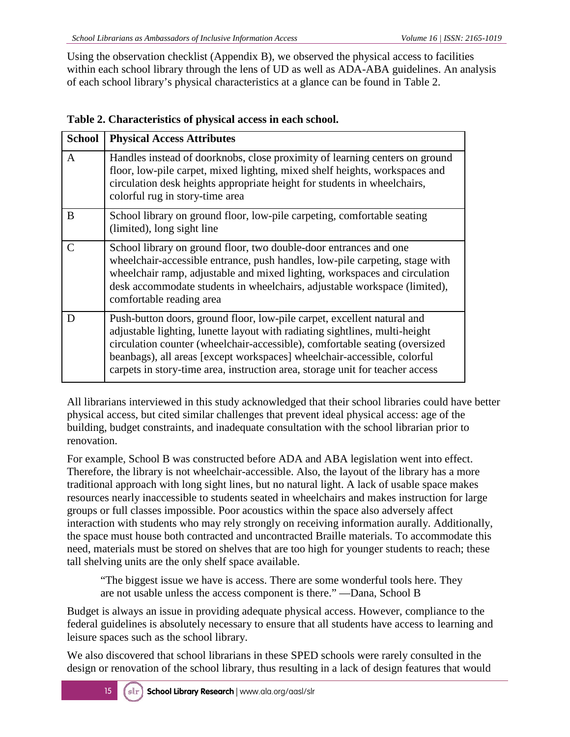Using the observation checklist (Appendix B), we observed the physical access to facilities within each school library through the lens of UD as well as ADA-ABA guidelines. An analysis of each school library's physical characteristics at a glance can be found in Table 2.

| <b>School</b>               | <b>Physical Access Attributes</b>                                                                                                                                                                                                                                                                                                                                                                  |
|-----------------------------|----------------------------------------------------------------------------------------------------------------------------------------------------------------------------------------------------------------------------------------------------------------------------------------------------------------------------------------------------------------------------------------------------|
| A                           | Handles instead of doorknobs, close proximity of learning centers on ground<br>floor, low-pile carpet, mixed lighting, mixed shelf heights, workspaces and<br>circulation desk heights appropriate height for students in wheelchairs,<br>colorful rug in story-time area                                                                                                                          |
| B                           | School library on ground floor, low-pile carpeting, comfortable seating<br>(limited), long sight line                                                                                                                                                                                                                                                                                              |
| $\mathcal{C}_{\mathcal{C}}$ | School library on ground floor, two double-door entrances and one<br>wheelchair-accessible entrance, push handles, low-pile carpeting, stage with<br>wheelchair ramp, adjustable and mixed lighting, workspaces and circulation<br>desk accommodate students in wheelchairs, adjustable workspace (limited),<br>comfortable reading area                                                           |
| D                           | Push-button doors, ground floor, low-pile carpet, excellent natural and<br>adjustable lighting, lunette layout with radiating sightlines, multi-height<br>circulation counter (wheelchair-accessible), comfortable seating (oversized<br>beanbags), all areas [except workspaces] wheelchair-accessible, colorful<br>carpets in story-time area, instruction area, storage unit for teacher access |

All librarians interviewed in this study acknowledged that their school libraries could have better physical access, but cited similar challenges that prevent ideal physical access: age of the building, budget constraints, and inadequate consultation with the school librarian prior to renovation.

For example, School B was constructed before ADA and ABA legislation went into effect. Therefore, the library is not wheelchair-accessible. Also, the layout of the library has a more traditional approach with long sight lines, but no natural light. A lack of usable space makes resources nearly inaccessible to students seated in wheelchairs and makes instruction for large groups or full classes impossible. Poor acoustics within the space also adversely affect interaction with students who may rely strongly on receiving information aurally. Additionally, the space must house both contracted and uncontracted Braille materials. To accommodate this need, materials must be stored on shelves that are too high for younger students to reach; these tall shelving units are the only shelf space available.

"The biggest issue we have is access. There are some wonderful tools here. They are not usable unless the access component is there." —Dana, School B

Budget is always an issue in providing adequate physical access. However, compliance to the federal guidelines is absolutely necessary to ensure that all students have access to learning and leisure spaces such as the school library.

We also discovered that school librarians in these SPED schools were rarely consulted in the design or renovation of the school library, thus resulting in a lack of design features that would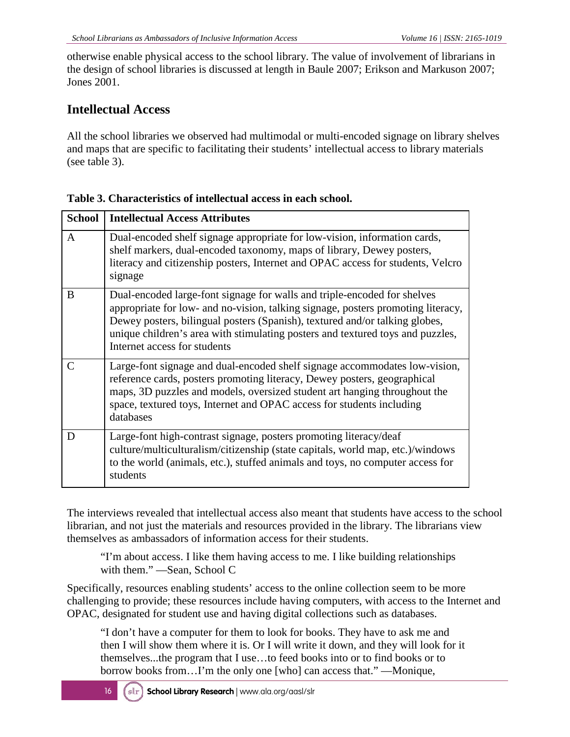otherwise enable physical access to the school library. The value of involvement of librarians in the design of school libraries is discussed at length in Baule 2007; Erikson and Markuson 2007; Jones 2001.

#### **Intellectual Access**

All the school libraries we observed had multimodal or multi-encoded signage on library shelves and maps that are specific to facilitating their students' intellectual access to library materials (see table 3).

| <b>School</b> | <b>Intellectual Access Attributes</b>                                                                                                                                                                                                                                                                                                                         |
|---------------|---------------------------------------------------------------------------------------------------------------------------------------------------------------------------------------------------------------------------------------------------------------------------------------------------------------------------------------------------------------|
| A             | Dual-encoded shelf signage appropriate for low-vision, information cards,<br>shelf markers, dual-encoded taxonomy, maps of library, Dewey posters,<br>literacy and citizenship posters, Internet and OPAC access for students, Velcro<br>signage                                                                                                              |
| B             | Dual-encoded large-font signage for walls and triple-encoded for shelves<br>appropriate for low- and no-vision, talking signage, posters promoting literacy,<br>Dewey posters, bilingual posters (Spanish), textured and/or talking globes,<br>unique children's area with stimulating posters and textured toys and puzzles,<br>Internet access for students |
| C             | Large-font signage and dual-encoded shelf signage accommodates low-vision,<br>reference cards, posters promoting literacy, Dewey posters, geographical<br>maps, 3D puzzles and models, oversized student art hanging throughout the<br>space, textured toys, Internet and OPAC access for students including<br>databases                                     |
| D             | Large-font high-contrast signage, posters promoting literacy/deaf<br>culture/multiculturalism/citizenship (state capitals, world map, etc.)/windows<br>to the world (animals, etc.), stuffed animals and toys, no computer access for<br>students                                                                                                             |

|  |  | Table 3. Characteristics of intellectual access in each school. |  |  |  |
|--|--|-----------------------------------------------------------------|--|--|--|
|--|--|-----------------------------------------------------------------|--|--|--|

The interviews revealed that intellectual access also meant that students have access to the school librarian, and not just the materials and resources provided in the library. The librarians view themselves as ambassadors of information access for their students.

"I'm about access. I like them having access to me. I like building relationships with them." —Sean, School C

Specifically, resources enabling students' access to the online collection seem to be more challenging to provide; these resources include having computers, with access to the Internet and OPAC, designated for student use and having digital collections such as databases.

"I don't have a computer for them to look for books. They have to ask me and then I will show them where it is. Or I will write it down, and they will look for it themselves...the program that I use…to feed books into or to find books or to borrow books from…I'm the only one [who] can access that." —Monique,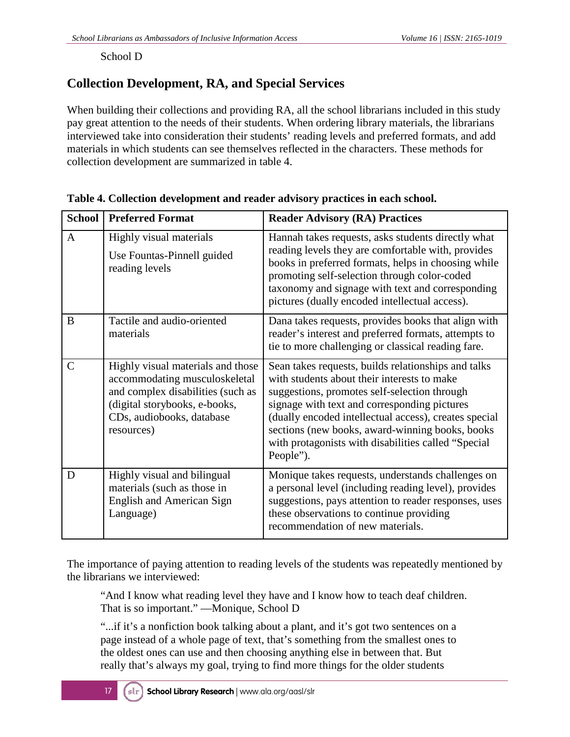#### School D

#### **Collection Development, RA, and Special Services**

When building their collections and providing RA, all the school librarians included in this study pay great attention to the needs of their students. When ordering library materials, the librarians interviewed take into consideration their students' reading levels and preferred formats, and add materials in which students can see themselves reflected in the characters. These methods for collection development are summarized in table 4.

| School         | <b>Preferred Format</b>                                                                                                                                                             | <b>Reader Advisory (RA) Practices</b>                                                                                                                                                                                                                                                                                                                                              |
|----------------|-------------------------------------------------------------------------------------------------------------------------------------------------------------------------------------|------------------------------------------------------------------------------------------------------------------------------------------------------------------------------------------------------------------------------------------------------------------------------------------------------------------------------------------------------------------------------------|
| A              | Highly visual materials<br>Use Fountas-Pinnell guided<br>reading levels                                                                                                             | Hannah takes requests, asks students directly what<br>reading levels they are comfortable with, provides<br>books in preferred formats, helps in choosing while<br>promoting self-selection through color-coded<br>taxonomy and signage with text and corresponding<br>pictures (dually encoded intellectual access).                                                              |
| B              | Tactile and audio-oriented<br>materials                                                                                                                                             | Dana takes requests, provides books that align with<br>reader's interest and preferred formats, attempts to<br>tie to more challenging or classical reading fare.                                                                                                                                                                                                                  |
| $\overline{C}$ | Highly visual materials and those<br>accommodating musculoskeletal<br>and complex disabilities (such as<br>(digital storybooks, e-books,<br>CDs, audiobooks, database<br>resources) | Sean takes requests, builds relationships and talks<br>with students about their interests to make<br>suggestions, promotes self-selection through<br>signage with text and corresponding pictures<br>(dually encoded intellectual access), creates special<br>sections (new books, award-winning books, books<br>with protagonists with disabilities called "Special<br>People"). |
| D              | Highly visual and bilingual<br>materials (such as those in<br><b>English and American Sign</b><br>Language)                                                                         | Monique takes requests, understands challenges on<br>a personal level (including reading level), provides<br>suggestions, pays attention to reader responses, uses<br>these observations to continue providing<br>recommendation of new materials.                                                                                                                                 |

#### **Table 4. Collection development and reader advisory practices in each school.**

The importance of paying attention to reading levels of the students was repeatedly mentioned by the librarians we interviewed:

"And I know what reading level they have and I know how to teach deaf children. That is so important." —Monique, School D

"...if it's a nonfiction book talking about a plant, and it's got two sentences on a page instead of a whole page of text, that's something from the smallest ones to the oldest ones can use and then choosing anything else in between that. But really that's always my goal, trying to find more things for the older students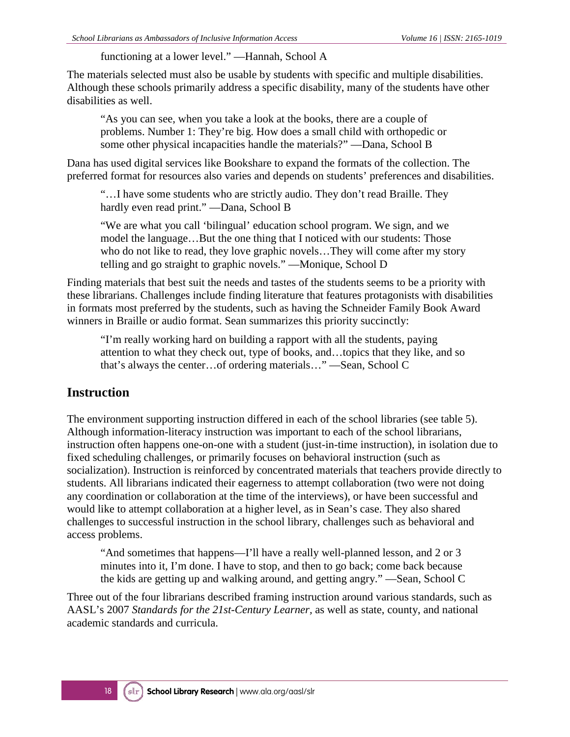functioning at a lower level." —Hannah, School A

The materials selected must also be usable by students with specific and multiple disabilities. Although these schools primarily address a specific disability, many of the students have other disabilities as well.

"As you can see, when you take a look at the books, there are a couple of problems. Number 1: They're big. How does a small child with orthopedic or some other physical incapacities handle the materials?" —Dana, School B

Dana has used digital services like Bookshare to expand the formats of the collection. The preferred format for resources also varies and depends on students' preferences and disabilities.

"…I have some students who are strictly audio. They don't read Braille. They hardly even read print." —Dana, School B

"We are what you call 'bilingual' education school program. We sign, and we model the language…But the one thing that I noticed with our students: Those who do not like to read, they love graphic novels...They will come after my story telling and go straight to graphic novels." —Monique, School D

Finding materials that best suit the needs and tastes of the students seems to be a priority with these librarians. Challenges include finding literature that features protagonists with disabilities in formats most preferred by the students, such as having the Schneider Family Book Award winners in Braille or audio format. Sean summarizes this priority succinctly:

"I'm really working hard on building a rapport with all the students, paying attention to what they check out, type of books, and…topics that they like, and so that's always the center…of ordering materials…" —Sean, School C

#### **Instruction**

The environment supporting instruction differed in each of the school libraries (see table 5). Although information-literacy instruction was important to each of the school librarians, instruction often happens one-on-one with a student (just-in-time instruction), in isolation due to fixed scheduling challenges, or primarily focuses on behavioral instruction (such as socialization). Instruction is reinforced by concentrated materials that teachers provide directly to students. All librarians indicated their eagerness to attempt collaboration (two were not doing any coordination or collaboration at the time of the interviews), or have been successful and would like to attempt collaboration at a higher level, as in Sean's case. They also shared challenges to successful instruction in the school library, challenges such as behavioral and access problems.

"And sometimes that happens—I'll have a really well-planned lesson, and 2 or 3 minutes into it, I'm done. I have to stop, and then to go back; come back because the kids are getting up and walking around, and getting angry." —Sean, School C

Three out of the four librarians described framing instruction around various standards, such as AASL's 2007 *Standards for the 21st-Century Learner,* as well as state, county, and national academic standards and curricula.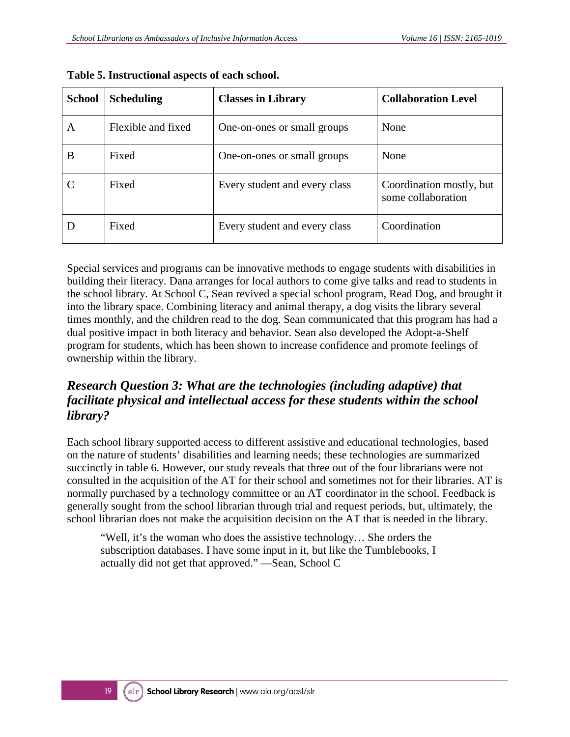| <b>School</b> | <b>Scheduling</b>  | <b>Classes in Library</b>     | <b>Collaboration Level</b>                     |
|---------------|--------------------|-------------------------------|------------------------------------------------|
| A             | Flexible and fixed | One-on-ones or small groups   | None                                           |
| B             | Fixed              | One-on-ones or small groups   | None                                           |
|               | Fixed              | Every student and every class | Coordination mostly, but<br>some collaboration |
|               | Fixed              | Every student and every class | Coordination                                   |

#### **Table 5. Instructional aspects of each school.**

Special services and programs can be innovative methods to engage students with disabilities in building their literacy. Dana arranges for local authors to come give talks and read to students in the school library. At School C, Sean revived a special school program, Read Dog, and brought it into the library space. Combining literacy and animal therapy, a dog visits the library several times monthly, and the children read to the dog. Sean communicated that this program has had a dual positive impact in both literacy and behavior. Sean also developed the Adopt-a-Shelf program for students, which has been shown to increase confidence and promote feelings of ownership within the library.

#### *Research Question 3: What are the technologies (including adaptive) that facilitate physical and intellectual access for these students within the school library?*

Each school library supported access to different assistive and educational technologies, based on the nature of students' disabilities and learning needs; these technologies are summarized succinctly in table 6. However, our study reveals that three out of the four librarians were not consulted in the acquisition of the AT for their school and sometimes not for their libraries. AT is normally purchased by a technology committee or an AT coordinator in the school. Feedback is generally sought from the school librarian through trial and request periods, but, ultimately, the school librarian does not make the acquisition decision on the AT that is needed in the library.

"Well, it's the woman who does the assistive technology… She orders the subscription databases. I have some input in it, but like the Tumblebooks, I actually did not get that approved." —Sean, School C

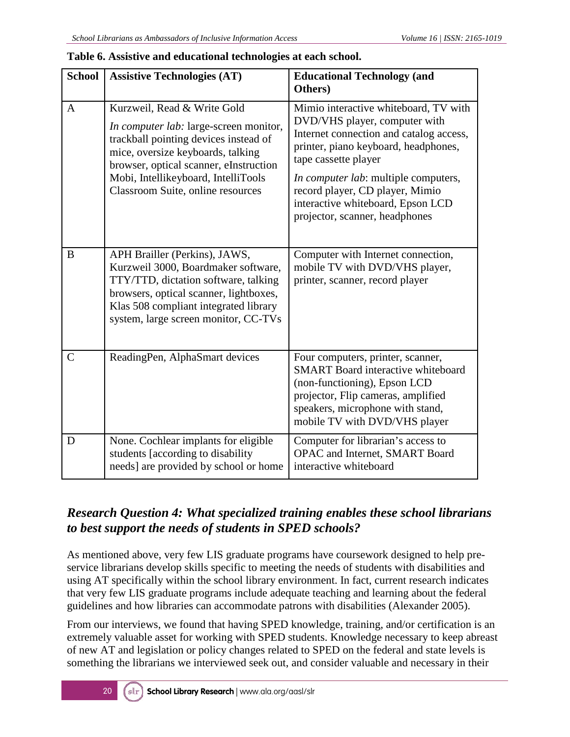| <b>School</b> | <b>Assistive Technologies (AT)</b>                                                                                                                                                                                                                                               | <b>Educational Technology (and</b><br>Others)                                                                                                                                                                                                                                                                                              |
|---------------|----------------------------------------------------------------------------------------------------------------------------------------------------------------------------------------------------------------------------------------------------------------------------------|--------------------------------------------------------------------------------------------------------------------------------------------------------------------------------------------------------------------------------------------------------------------------------------------------------------------------------------------|
| $\mathbf{A}$  | Kurzweil, Read & Write Gold<br><i>In computer lab:</i> large-screen monitor,<br>trackball pointing devices instead of<br>mice, oversize keyboards, talking<br>browser, optical scanner, eInstruction<br>Mobi, Intellikeyboard, IntelliTools<br>Classroom Suite, online resources | Mimio interactive whiteboard, TV with<br>DVD/VHS player, computer with<br>Internet connection and catalog access,<br>printer, piano keyboard, headphones,<br>tape cassette player<br><i>In computer lab:</i> multiple computers,<br>record player, CD player, Mimio<br>interactive whiteboard, Epson LCD<br>projector, scanner, headphones |
| B             | APH Brailler (Perkins), JAWS,<br>Kurzweil 3000, Boardmaker software,<br>TTY/TTD, dictation software, talking<br>browsers, optical scanner, lightboxes,<br>Klas 508 compliant integrated library<br>system, large screen monitor, CC-TVs                                          | Computer with Internet connection,<br>mobile TV with DVD/VHS player,<br>printer, scanner, record player                                                                                                                                                                                                                                    |
| $\mathcal{C}$ | ReadingPen, AlphaSmart devices                                                                                                                                                                                                                                                   | Four computers, printer, scanner,<br><b>SMART</b> Board interactive whiteboard<br>(non-functioning), Epson LCD<br>projector, Flip cameras, amplified<br>speakers, microphone with stand,<br>mobile TV with DVD/VHS player                                                                                                                  |
| D             | None. Cochlear implants for eligible<br>students [according to disability<br>needs] are provided by school or home                                                                                                                                                               | Computer for librarian's access to<br>OPAC and Internet, SMART Board<br>interactive whiteboard                                                                                                                                                                                                                                             |

#### **Table 6. Assistive and educational technologies at each school.**

#### *Research Question 4: What specialized training enables these school librarians to best support the needs of students in SPED schools?*

As mentioned above, very few LIS graduate programs have coursework designed to help preservice librarians develop skills specific to meeting the needs of students with disabilities and using AT specifically within the school library environment. In fact, current research indicates that very few LIS graduate programs include adequate teaching and learning about the federal guidelines and how libraries can accommodate patrons with disabilities (Alexander 2005).

From our interviews, we found that having SPED knowledge, training, and/or certification is an extremely valuable asset for working with SPED students. Knowledge necessary to keep abreast of new AT and legislation or policy changes related to SPED on the federal and state levels is something the librarians we interviewed seek out, and consider valuable and necessary in their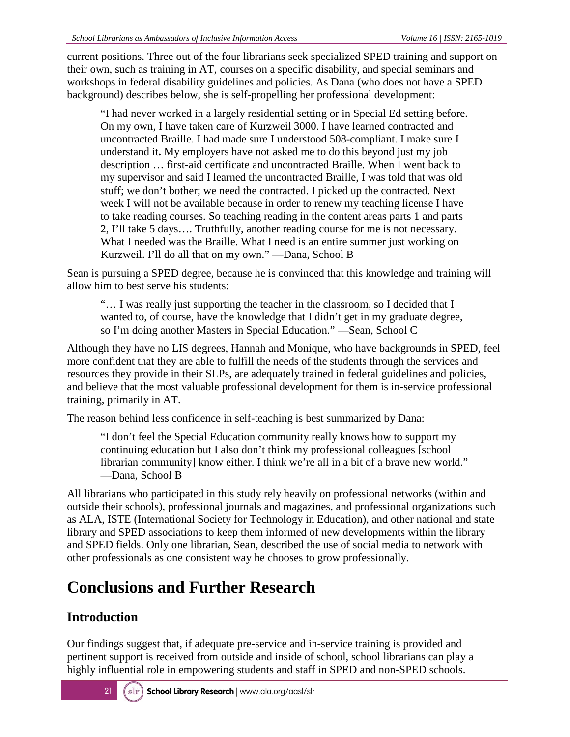current positions. Three out of the four librarians seek specialized SPED training and support on their own, such as training in AT, courses on a specific disability, and special seminars and workshops in federal disability guidelines and policies. As Dana (who does not have a SPED background) describes below, she is self-propelling her professional development:

"I had never worked in a largely residential setting or in Special Ed setting before. On my own, I have taken care of Kurzweil 3000. I have learned contracted and uncontracted Braille. I had made sure I understood 508-compliant. I make sure I understand it**.** My employers have not asked me to do this beyond just my job description … first-aid certificate and uncontracted Braille. When I went back to my supervisor and said I learned the uncontracted Braille, I was told that was old stuff; we don't bother; we need the contracted. I picked up the contracted. Next week I will not be available because in order to renew my teaching license I have to take reading courses. So teaching reading in the content areas parts 1 and parts 2, I'll take 5 days…. Truthfully, another reading course for me is not necessary. What I needed was the Braille. What I need is an entire summer just working on Kurzweil. I'll do all that on my own." —Dana, School B

Sean is pursuing a SPED degree, because he is convinced that this knowledge and training will allow him to best serve his students:

"… I was really just supporting the teacher in the classroom, so I decided that I wanted to, of course, have the knowledge that I didn't get in my graduate degree, so I'm doing another Masters in Special Education." —Sean, School C

Although they have no LIS degrees, Hannah and Monique, who have backgrounds in SPED, feel more confident that they are able to fulfill the needs of the students through the services and resources they provide in their SLPs, are adequately trained in federal guidelines and policies, and believe that the most valuable professional development for them is in-service professional training, primarily in AT.

The reason behind less confidence in self-teaching is best summarized by Dana:

"I don't feel the Special Education community really knows how to support my continuing education but I also don't think my professional colleagues [school librarian community] know either. I think we're all in a bit of a brave new world." —Dana, School B

All librarians who participated in this study rely heavily on professional networks (within and outside their schools), professional journals and magazines, and professional organizations such as ALA, ISTE (International Society for Technology in Education), and other national and state library and SPED associations to keep them informed of new developments within the library and SPED fields. Only one librarian, Sean, described the use of social media to network with other professionals as one consistent way he chooses to grow professionally.

## **Conclusions and Further Research**

#### **Introduction**

Our findings suggest that, if adequate pre-service and in-service training is provided and pertinent support is received from outside and inside of school, school librarians can play a highly influential role in empowering students and staff in SPED and non-SPED schools.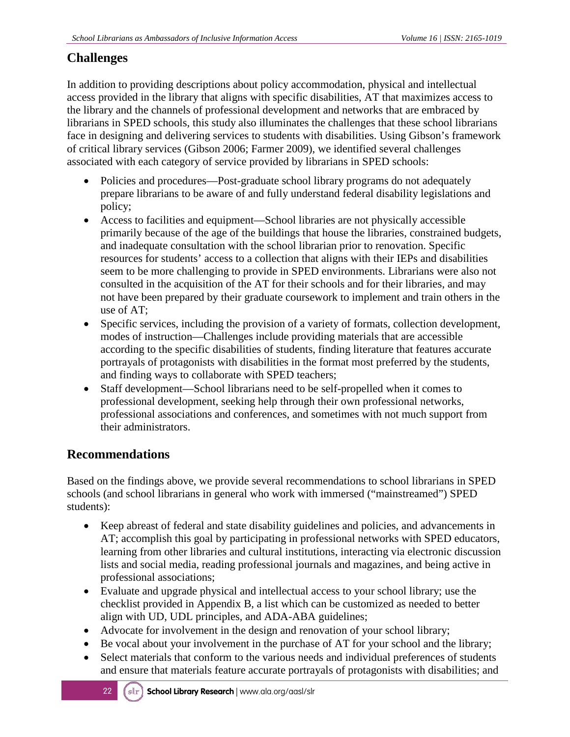### **Challenges**

In addition to providing descriptions about policy accommodation, physical and intellectual access provided in the library that aligns with specific disabilities, AT that maximizes access to the library and the channels of professional development and networks that are embraced by librarians in SPED schools, this study also illuminates the challenges that these school librarians face in designing and delivering services to students with disabilities. Using Gibson's framework of critical library services (Gibson 2006; Farmer 2009), we identified several challenges associated with each category of service provided by librarians in SPED schools:

- Policies and procedures—Post-graduate school library programs do not adequately prepare librarians to be aware of and fully understand federal disability legislations and policy;
- Access to facilities and equipment—School libraries are not physically accessible primarily because of the age of the buildings that house the libraries, constrained budgets, and inadequate consultation with the school librarian prior to renovation. Specific resources for students' access to a collection that aligns with their IEPs and disabilities seem to be more challenging to provide in SPED environments. Librarians were also not consulted in the acquisition of the AT for their schools and for their libraries, and may not have been prepared by their graduate coursework to implement and train others in the use of AT;
- Specific services, including the provision of a variety of formats, collection development, modes of instruction—Challenges include providing materials that are accessible according to the specific disabilities of students, finding literature that features accurate portrayals of protagonists with disabilities in the format most preferred by the students, and finding ways to collaborate with SPED teachers;
- Staff development—School librarians need to be self-propelled when it comes to professional development, seeking help through their own professional networks, professional associations and conferences, and sometimes with not much support from their administrators.

### **Recommendations**

Based on the findings above, we provide several recommendations to school librarians in SPED schools (and school librarians in general who work with immersed ("mainstreamed") SPED students):

- Keep abreast of federal and state disability guidelines and policies, and advancements in AT; accomplish this goal by participating in professional networks with SPED educators, learning from other libraries and cultural institutions, interacting via electronic discussion lists and social media, reading professional journals and magazines, and being active in professional associations;
- Evaluate and upgrade physical and intellectual access to your school library; use the checklist provided in Appendix B, a list which can be customized as needed to better align with UD, UDL principles, and ADA-ABA guidelines;
- Advocate for involvement in the design and renovation of your school library;
- Be vocal about your involvement in the purchase of AT for your school and the library;
- Select materials that conform to the various needs and individual preferences of students and ensure that materials feature accurate portrayals of protagonists with disabilities; and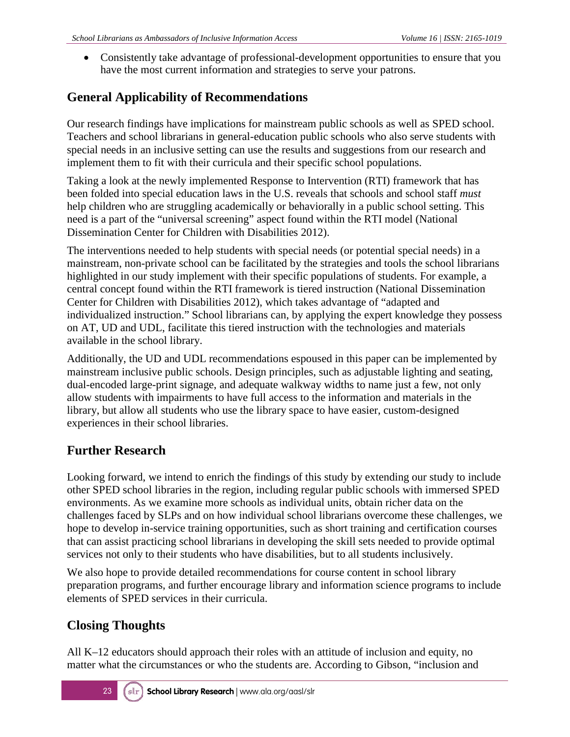• Consistently take advantage of professional-development opportunities to ensure that you have the most current information and strategies to serve your patrons.

#### **General Applicability of Recommendations**

Our research findings have implications for mainstream public schools as well as SPED school. Teachers and school librarians in general-education public schools who also serve students with special needs in an inclusive setting can use the results and suggestions from our research and implement them to fit with their curricula and their specific school populations.

Taking a look at the newly implemented Response to Intervention (RTI) framework that has been folded into special education laws in the U.S. reveals that schools and school staff *must* help children who are struggling academically or behaviorally in a public school setting. This need is a part of the "universal screening" aspect found within the RTI model (National Dissemination Center for Children with Disabilities 2012).

The interventions needed to help students with special needs (or potential special needs) in a mainstream, non-private school can be facilitated by the strategies and tools the school librarians highlighted in our study implement with their specific populations of students. For example, a central concept found within the RTI framework is tiered instruction (National Dissemination Center for Children with Disabilities 2012), which takes advantage of "adapted and individualized instruction." School librarians can, by applying the expert knowledge they possess on AT, UD and UDL, facilitate this tiered instruction with the technologies and materials available in the school library.

Additionally, the UD and UDL recommendations espoused in this paper can be implemented by mainstream inclusive public schools. Design principles, such as adjustable lighting and seating, dual-encoded large-print signage, and adequate walkway widths to name just a few, not only allow students with impairments to have full access to the information and materials in the library, but allow all students who use the library space to have easier, custom-designed experiences in their school libraries.

#### **Further Research**

Looking forward, we intend to enrich the findings of this study by extending our study to include other SPED school libraries in the region, including regular public schools with immersed SPED environments. As we examine more schools as individual units, obtain richer data on the challenges faced by SLPs and on how individual school librarians overcome these challenges, we hope to develop in-service training opportunities, such as short training and certification courses that can assist practicing school librarians in developing the skill sets needed to provide optimal services not only to their students who have disabilities, but to all students inclusively.

We also hope to provide detailed recommendations for course content in school library preparation programs, and further encourage library and information science programs to include elements of SPED services in their curricula.

### **Closing Thoughts**

All K–12 educators should approach their roles with an attitude of inclusion and equity, no matter what the circumstances or who the students are. According to Gibson, "inclusion and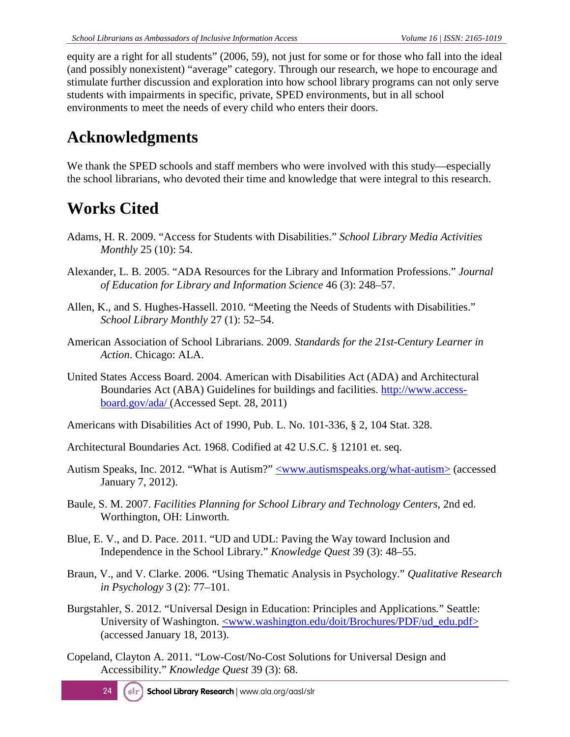equity are a right for all students" (2006, 59), not just for some or for those who fall into the ideal (and possibly nonexistent) "average" category. Through our research, we hope to encourage and stimulate further discussion and exploration into how school library programs can not only serve students with impairments in specific, private, SPED environments, but in all school environments to meet the needs of every child who enters their doors.

### **Acknowledgments**

We thank the SPED schools and staff members who were involved with this study—especially the school librarians, who devoted their time and knowledge that were integral to this research.

### **Works Cited**

- Adams, H. R. 2009. "Access for Students with Disabilities." *School Library Media Activities Monthly* 25 (10): 54.
- Alexander, L. B. 2005. "ADA Resources for the Library and Information Professions." *Journal of Education for Library and Information Science* 46 (3): 248–57.
- Allen, K., and S. Hughes-Hassell. 2010. "Meeting the Needs of Students with Disabilities." *School Library Monthly* 27 (1): 52–54.
- American Association of School Librarians. 2009. *Standards for the 21st-Century Learner in Action*. Chicago: ALA.
- United States Access Board. 2004. American with Disabilities Act (ADA) and Architectural Boundaries Act (ABA) Guidelines for buildings and facilities. [http://www.access](http://www.access-board.gov/ada/)[board.gov/ada/](http://www.access-board.gov/ada/) (Accessed Sept. 28, 2011)
- Americans with Disabilities Act of 1990, Pub. L. No. 101-336, § 2, 104 Stat. 328.
- Architectural Boundaries Act. 1968. Codified at 42 U.S.C. § 12101 et. seq.
- Autism Speaks, Inc. 2012. "What is Autism?" [<www.autismspeaks.org/what-autism>](http://www.autismspeaks.org/what-autism) (accessed January 7, 2012).
- Baule, S. M. 2007. *Facilities Planning for School Library and Technology Centers*, 2nd ed. Worthington, OH: Linworth.
- Blue, E. V., and D. Pace. 2011. "UD and UDL: Paving the Way toward Inclusion and Independence in the School Library." *Knowledge Quest* 39 (3): 48–55.
- Braun, V., and V. Clarke. 2006. "Using Thematic Analysis in Psychology." *Qualitative Research in Psychology* 3 (2): 77–101.
- Burgstahler, S. 2012. "Universal Design in Education: Principles and Applications*.*" Seattle: University of Washington. [<www.washington.edu/doit/Brochures/PDF/ud\\_edu.pdf>](http://www.washington.edu/doit/Brochures/PDF/ud_edu.pdf) (accessed January 18, 2013).
- Copeland, Clayton A. 2011. "Low-Cost/No-Cost Solutions for Universal Design and Accessibility." *Knowledge Quest* 39 (3): 68.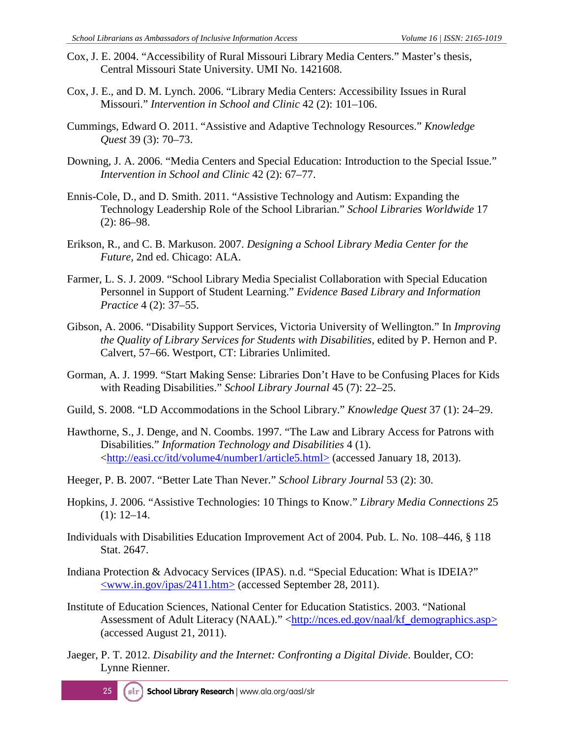- Cox, J. E. 2004. "Accessibility of Rural Missouri Library Media Centers." Master's thesis, Central Missouri State University. UMI No. 1421608.
- Cox, J. E., and D. M. Lynch. 2006. "Library Media Centers: Accessibility Issues in Rural Missouri." *Intervention in School and Clinic* 42 (2): 101–106.
- Cummings, Edward O. 2011. "Assistive and Adaptive Technology Resources." *Knowledge Quest* 39 (3): 70–73.
- Downing, J. A. 2006. "Media Centers and Special Education: Introduction to the Special Issue." *Intervention in School and Clinic* 42 (2): 67–77.
- Ennis-Cole, D., and D. Smith. 2011. "Assistive Technology and Autism: Expanding the Technology Leadership Role of the School Librarian." *School Libraries Worldwide* 17 (2): 86–98.
- Erikson, R., and C. B. Markuson. 2007. *Designing a School Library Media Center for the Future*, 2nd ed. Chicago: ALA.
- Farmer, L. S. J. 2009. "School Library Media Specialist Collaboration with Special Education Personnel in Support of Student Learning." *Evidence Based Library and Information Practice* 4 (2): 37–55.
- Gibson, A. 2006. "Disability Support Services, Victoria University of Wellington." In *Improving the Quality of Library Services for Students with Disabilities*, edited by P. Hernon and P. Calvert, 57–66. Westport, CT: Libraries Unlimited.
- Gorman, A. J. 1999. "Start Making Sense: Libraries Don't Have to be Confusing Places for Kids with Reading Disabilities." *School Library Journal* 45 (7): 22–25.
- Guild, S. 2008. "LD Accommodations in the School Library." *Knowledge Quest* 37 (1): 24–29.
- Hawthorne, S., J. Denge, and N. Coombs. 1997. "The Law and Library Access for Patrons with Disabilities." *Information Technology and Disabilities* 4 (1). [<http://easi.cc/itd/volume4/number1/article5.html>](http://easi.cc/itd/volume4/number1/article5.html) (accessed January 18, 2013).
- Heeger, P. B. 2007. "Better Late Than Never." *School Library Journal* 53 (2): 30.
- Hopkins, J. 2006. "Assistive Technologies: 10 Things to Know." *Library Media Connections* 25 (1): 12–14.
- Individuals with Disabilities Education Improvement Act of 2004. Pub. L. No. 108–446, § 118 Stat. 2647.
- Indiana Protection & Advocacy Services (IPAS). n.d. "Special Education: What is IDEIA?" [<www.in.gov/ipas/2411.htm>](http://www.in.gov/ipas/2411.htm) (accessed September 28, 2011).
- Institute of Education Sciences, National Center for Education Statistics. 2003. "National Assessment of Adult Literacy (NAAL)." [<http://nces.ed.gov/naal/kf\\_demographics.asp>](http://nces.ed.gov/naal/kf_demographics.asp) (accessed August 21, 2011).
- Jaeger, P. T. 2012. *Disability and the Internet: Confronting a Digital Divide*. Boulder, CO: Lynne Rienner.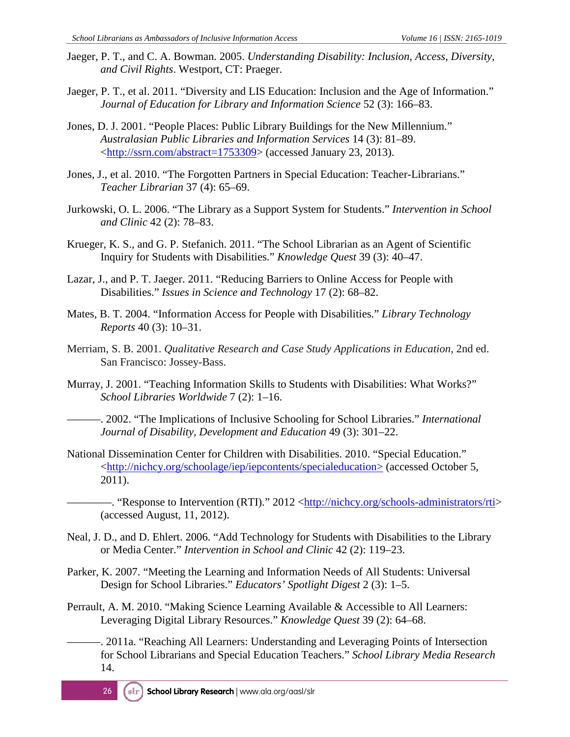- Jaeger, P. T., and C. A. Bowman. 2005. *Understanding Disability: Inclusion, Access, Diversity, and Civil Rights*. Westport, CT: Praeger.
- Jaeger, P. T., et al. 2011. "Diversity and LIS Education: Inclusion and the Age of Information." *Journal of Education for Library and Information Science* 52 (3): 166–83.
- Jones, D. J. 2001. "People Places: Public Library Buildings for the New Millennium." *Australasian Public Libraries and Information Services* 14 (3): 81–89. [<http://ssrn.com/abstract=1753309>](http://ssrn.com/abstract=1753309) (accessed January 23, 2013).
- Jones, J., et al. 2010. "The Forgotten Partners in Special Education: Teacher-Librarians." *Teacher Librarian* 37 (4): 65–69.
- Jurkowski, O. L. 2006. "The Library as a Support System for Students." *Intervention in School and Clinic* 42 (2): 78–83.
- Krueger, K. S., and G. P. Stefanich. 2011. "The School Librarian as an Agent of Scientific Inquiry for Students with Disabilities." *Knowledge Quest* 39 (3): 40–47.
- Lazar, J., and P. T. Jaeger. 2011. "Reducing Barriers to Online Access for People with Disabilities." *Issues in Science and Technology* 17 (2): 68–82.
- Mates, B. T. 2004. "Information Access for People with Disabilities." *Library Technology Reports* 40 (3): 10–31.
- Merriam, S. B. 2001. *Qualitative Research and Case Study Applications in Education*, 2nd ed. San Francisco: Jossey-Bass.
- Murray, J. 2001. "Teaching Information Skills to Students with Disabilities: What Works?" *School Libraries Worldwide* 7 (2): 1–16.
	- ———. 2002. "The Implications of Inclusive Schooling for School Libraries." *International Journal of Disability, Development and Education* 49 (3): 301–22.
- National Dissemination Center for Children with Disabilities. 2010. "Special Education." [<http://nichcy.org/schoolage/iep/iepcontents/specialeducation>](http://nichcy.org/schoolage/iep/iepcontents/specialeducation) (accessed October 5, 2011).
	- —. "Response to Intervention (RTI)." 2012 [<http://nichcy.org/schools-administrators/rti>](http://nichcy.org/schools-administrators/rti) (accessed August, 11, 2012).
- Neal, J. D., and D. Ehlert. 2006. "Add Technology for Students with Disabilities to the Library or Media Center." *Intervention in School and Clinic* 42 (2): 119–23.
- Parker, K. 2007. "Meeting the Learning and Information Needs of All Students: Universal Design for School Libraries." *Educators' Spotlight Digest* 2 (3): 1–5.
- Perrault, A. M. 2010. "Making Science Learning Available & Accessible to All Learners: Leveraging Digital Library Resources." *Knowledge Quest* 39 (2): 64–68.
	- -. 2011a. "Reaching All Learners: Understanding and Leveraging Points of Intersection for School Librarians and Special Education Teachers." *School Library Media Research* 14.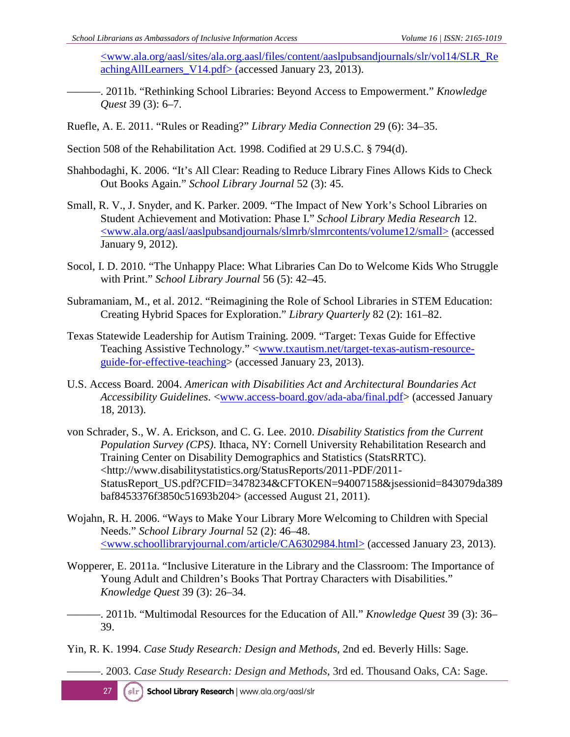<www.ala.org/aasl/sites/ala.org.aasl/files/content/aaslpubsandjournals/slr/vol14/SLR\_Re achingAllLearners\_V14.pdf> (accessed January 23, 2013).

- ———. 2011b. "Rethinking School Libraries: Beyond Access to Empowerment." *Knowledge Quest* 39 (3): 6–7.
- Ruefle, A. E. 2011. "Rules or Reading?" *Library Media Connection* 29 (6): 34–35.

Section 508 of the Rehabilitation Act. 1998. Codified at 29 U.S.C. § 794(d).

- Shahbodaghi, K. 2006. "It's All Clear: Reading to Reduce Library Fines Allows Kids to Check Out Books Again." *School Library Journal* 52 (3): 45.
- Small, R. V., J. Snyder, and K. Parker. 2009. "The Impact of New York's School Libraries on Student Achievement and Motivation: Phase I." *School Library Media Research* 12. [<www.ala.org/aasl/aaslpubsandjournals/slmrb/slmrcontents/volume12/small>](http://www.ala.org/aasl/aaslpubsandjournals/slmrb/slmrcontents/volume12/small) (accessed January 9, 2012).
- Socol, I. D. 2010. "The Unhappy Place: What Libraries Can Do to Welcome Kids Who Struggle with Print." *School Library Journal* 56 (5): 42–45.
- Subramaniam, M., et al. 2012. "Reimagining the Role of School Libraries in STEM Education: Creating Hybrid Spaces for Exploration." *Library Quarterly* 82 (2): 161–82.
- Texas Statewide Leadership for Autism Training. 2009. "Target: Texas Guide for Effective Teaching Assistive Technology." [<www.txautism.net/target-texas-autism-resource](http://www.txautism.net/target-texas-autism-resource-guide-for-effective-teaching)[guide-for-effective-teaching>](http://www.txautism.net/target-texas-autism-resource-guide-for-effective-teaching) (accessed January 23, 2013).
- U.S. Access Board. 2004. *American with Disabilities Act and Architectural Boundaries Act Accessibility Guidelines*. [<www.access-board.gov/ada-aba/final.pdf>](http://www.access-board.gov/ada-aba/final.pdf) (accessed January 18, 2013).
- von Schrader, S., W. A. Erickson, and C. G. Lee. 2010. *Disability Statistics from the Current Population Survey (CPS)*. Ithaca, NY: Cornell University Rehabilitation Research and Training Center on Disability Demographics and Statistics (StatsRRTC). <http://www.disabilitystatistics.org/StatusReports/2011-PDF/2011- StatusReport\_US.pdf?CFID=3478234&CFTOKEN=94007158&jsessionid=843079da389 baf8453376f3850c51693b204> (accessed August 21, 2011).
- Wojahn, R. H. 2006. "Ways to Make Your Library More Welcoming to Children with Special Needs." *School Library Journal* 52 (2): 46–48. [<www.schoollibraryjournal.com/article/CA6302984.html>](http://www.schoollibraryjournal.com/article/CA6302984.html) (accessed January 23, 2013).
- Wopperer, E. 2011a. "Inclusive Literature in the Library and the Classroom: The Importance of Young Adult and Children's Books That Portray Characters with Disabilities." *Knowledge Quest* 39 (3): 26–34.
- ———. 2011b. "Multimodal Resources for the Education of All." *Knowledge Quest* 39 (3): 36– 39.

Yin, R. K. 1994. *Case Study Research: Design and Methods*, 2nd ed. Beverly Hills: Sage.

———. 2003. *Case Study Research: Design and Methods*, 3rd ed. Thousand Oaks, CA: Sage.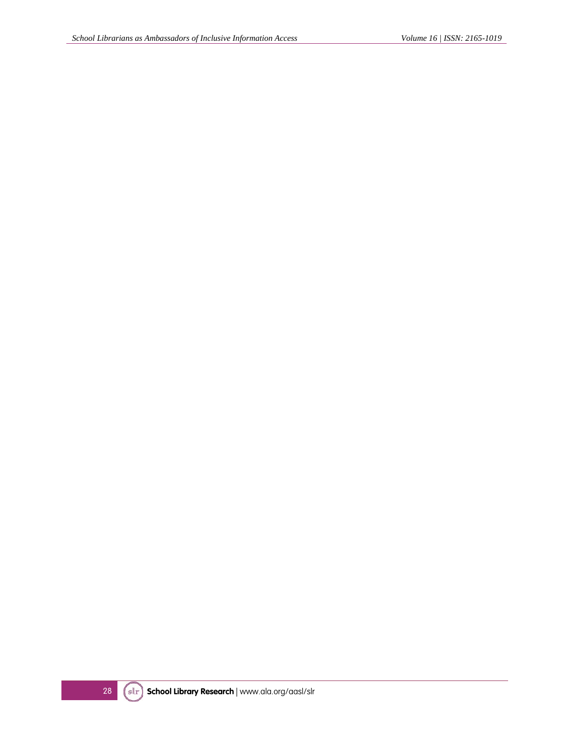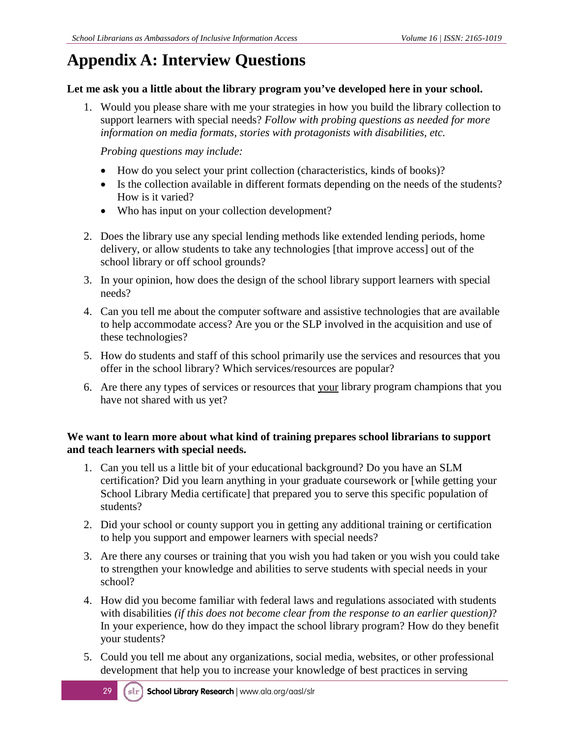## **Appendix A: Interview Questions**

#### **Let me ask you a little about the library program you've developed here in your school.**

1. Would you please share with me your strategies in how you build the library collection to support learners with special needs? *Follow with probing questions as needed for more information on media formats, stories with protagonists with disabilities, etc.*

*Probing questions may include:*

- How do you select your print collection (characteristics, kinds of books)?
- Is the collection available in different formats depending on the needs of the students? How is it varied?
- Who has input on your collection development?
- 2. Does the library use any special lending methods like extended lending periods, home delivery, or allow students to take any technologies [that improve access] out of the school library or off school grounds?
- 3. In your opinion, how does the design of the school library support learners with special needs?
- 4. Can you tell me about the computer software and assistive technologies that are available to help accommodate access? Are you or the SLP involved in the acquisition and use of these technologies?
- 5. How do students and staff of this school primarily use the services and resources that you offer in the school library? Which services/resources are popular?
- 6. Are there any types of services or resources that your library program champions that you have not shared with us yet?

#### **We want to learn more about what kind of training prepares school librarians to support and teach learners with special needs.**

- 1. Can you tell us a little bit of your educational background? Do you have an SLM certification? Did you learn anything in your graduate coursework or [while getting your School Library Media certificate] that prepared you to serve this specific population of students?
- 2. Did your school or county support you in getting any additional training or certification to help you support and empower learners with special needs?
- 3. Are there any courses or training that you wish you had taken or you wish you could take to strengthen your knowledge and abilities to serve students with special needs in your school?
- 4. How did you become familiar with federal laws and regulations associated with students with disabilities *(if this does not become clear from the response to an earlier question)*? In your experience, how do they impact the school library program? How do they benefit your students?
- 5. Could you tell me about any organizations, social media, websites, or other professional development that help you to increase your knowledge of best practices in serving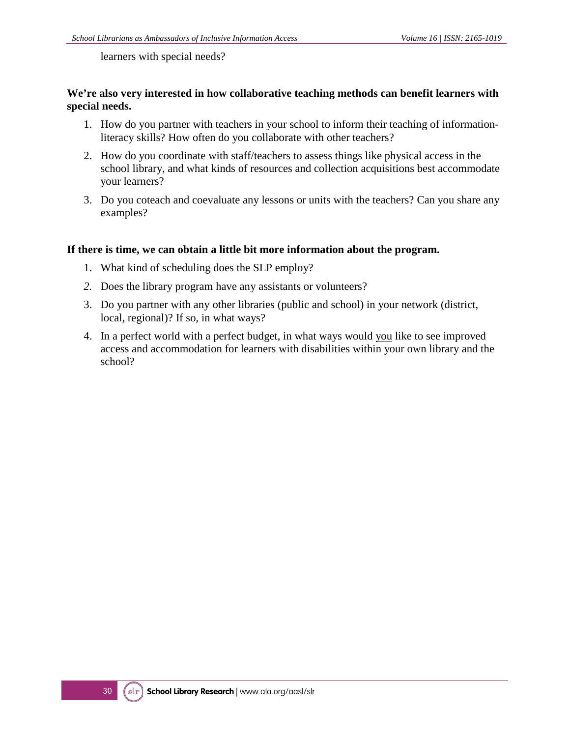learners with special needs?

#### **We're also very interested in how collaborative teaching methods can benefit learners with special needs.**

- 1. How do you partner with teachers in your school to inform their teaching of informationliteracy skills? How often do you collaborate with other teachers?
- 2. How do you coordinate with staff/teachers to assess things like physical access in the school library, and what kinds of resources and collection acquisitions best accommodate your learners?
- 3. Do you coteach and coevaluate any lessons or units with the teachers? Can you share any examples?

#### **If there is time, we can obtain a little bit more information about the program.**

- 1. What kind of scheduling does the SLP employ?
- *2.* Does the library program have any assistants or volunteers?
- 3. Do you partner with any other libraries (public and school) in your network (district, local, regional)? If so, in what ways?
- 4. In a perfect world with a perfect budget, in what ways would you like to see improved access and accommodation for learners with disabilities within your own library and the school?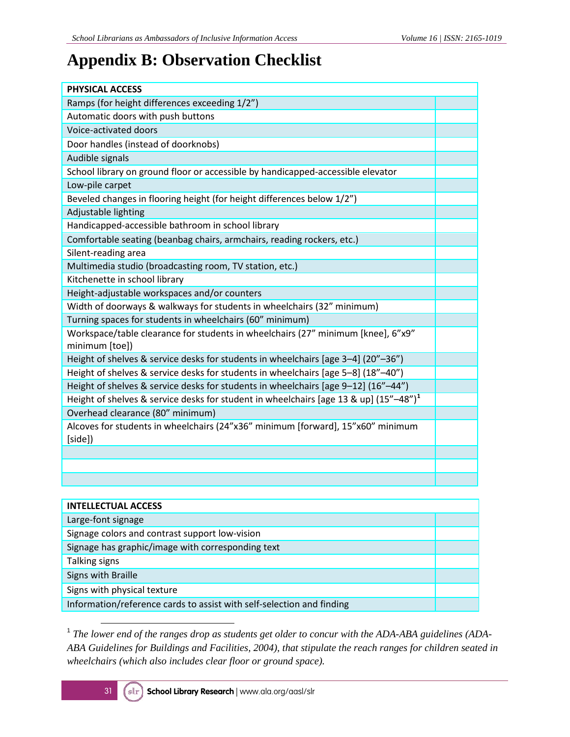### **Appendix B: Observation Checklist**

| <b>PHYSICAL ACCESS</b>                                                                             |  |
|----------------------------------------------------------------------------------------------------|--|
| Ramps (for height differences exceeding 1/2")                                                      |  |
| Automatic doors with push buttons                                                                  |  |
| Voice-activated doors                                                                              |  |
| Door handles (instead of doorknobs)                                                                |  |
| Audible signals                                                                                    |  |
| School library on ground floor or accessible by handicapped-accessible elevator                    |  |
| Low-pile carpet                                                                                    |  |
| Beveled changes in flooring height (for height differences below 1/2")                             |  |
| Adjustable lighting                                                                                |  |
| Handicapped-accessible bathroom in school library                                                  |  |
| Comfortable seating (beanbag chairs, armchairs, reading rockers, etc.)                             |  |
| Silent-reading area                                                                                |  |
| Multimedia studio (broadcasting room, TV station, etc.)                                            |  |
| Kitchenette in school library                                                                      |  |
| Height-adjustable workspaces and/or counters                                                       |  |
| Width of doorways & walkways for students in wheelchairs (32" minimum)                             |  |
| Turning spaces for students in wheelchairs (60" minimum)                                           |  |
| Workspace/table clearance for students in wheelchairs (27" minimum [knee], 6"x9"<br>minimum [toe]) |  |
| Height of shelves & service desks for students in wheelchairs [age 3-4] (20"-36")                  |  |
| Height of shelves & service desks for students in wheelchairs [age 5-8] (18"-40")                  |  |
| Height of shelves & service desks for students in wheelchairs [age 9-12] (16"-44")                 |  |
| Height of shelves & service desks for student in wheelchairs [age 13 & up] $(15''-48'')^1$         |  |
| Overhead clearance (80" minimum)                                                                   |  |
| Alcoves for students in wheelchairs (24"x36" minimum [forward], 15"x60" minimum<br>[side])         |  |
|                                                                                                    |  |
|                                                                                                    |  |
|                                                                                                    |  |

| <b>INTELLECTUAL ACCESS</b>                                            |  |
|-----------------------------------------------------------------------|--|
| Large-font signage                                                    |  |
| Signage colors and contrast support low-vision                        |  |
| Signage has graphic/image with corresponding text                     |  |
| Talking signs                                                         |  |
| Signs with Braille                                                    |  |
| Signs with physical texture                                           |  |
| Information/reference cards to assist with self-selection and finding |  |

<span id="page-30-0"></span><sup>1</sup> The lower end of the ranges drop as students get older to concur with the ADA-ABA guidelines (ADA-*ABA Guidelines for Buildings and Facilities, 2004), that stipulate the reach ranges for children seated in wheelchairs (which also includes clear floor or ground space).*

ı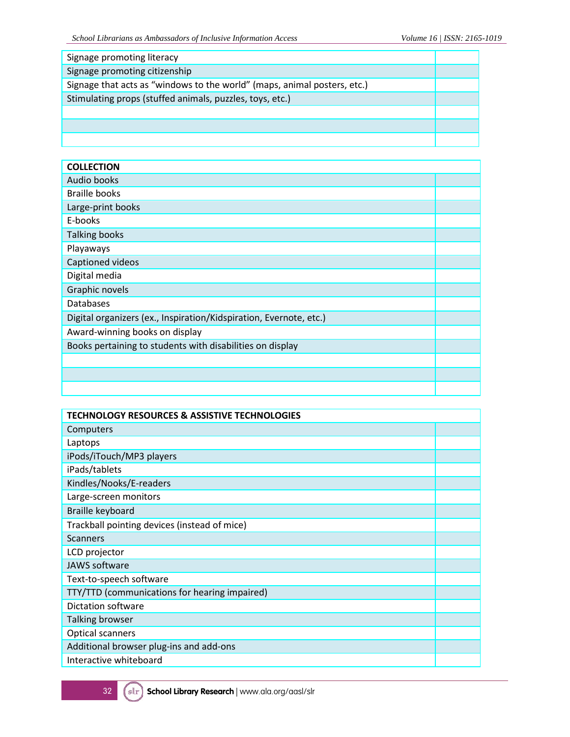| Signage promoting literacy                                               |  |
|--------------------------------------------------------------------------|--|
| Signage promoting citizenship                                            |  |
| Signage that acts as "windows to the world" (maps, animal posters, etc.) |  |
| Stimulating props (stuffed animals, puzzles, toys, etc.)                 |  |
|                                                                          |  |
|                                                                          |  |
|                                                                          |  |

| <b>COLLECTION</b>                                                  |  |
|--------------------------------------------------------------------|--|
| Audio books                                                        |  |
| <b>Braille books</b>                                               |  |
| Large-print books                                                  |  |
| E-books                                                            |  |
| <b>Talking books</b>                                               |  |
| Playaways                                                          |  |
| Captioned videos                                                   |  |
| Digital media                                                      |  |
| Graphic novels                                                     |  |
| <b>Databases</b>                                                   |  |
| Digital organizers (ex., Inspiration/Kidspiration, Evernote, etc.) |  |
| Award-winning books on display                                     |  |
| Books pertaining to students with disabilities on display          |  |
|                                                                    |  |
|                                                                    |  |
|                                                                    |  |

| <b>TECHNOLOGY RESOURCES &amp; ASSISTIVE TECHNOLOGIES</b> |  |  |  |
|----------------------------------------------------------|--|--|--|
| Computers                                                |  |  |  |
| Laptops                                                  |  |  |  |
| iPods/iTouch/MP3 players                                 |  |  |  |
| iPads/tablets                                            |  |  |  |
| Kindles/Nooks/E-readers                                  |  |  |  |
| Large-screen monitors                                    |  |  |  |
| Braille keyboard                                         |  |  |  |
| Trackball pointing devices (instead of mice)             |  |  |  |
| <b>Scanners</b>                                          |  |  |  |
| LCD projector                                            |  |  |  |
| JAWS software                                            |  |  |  |
| Text-to-speech software                                  |  |  |  |
| TTY/TTD (communications for hearing impaired)            |  |  |  |
| Dictation software                                       |  |  |  |
| <b>Talking browser</b>                                   |  |  |  |
| <b>Optical scanners</b>                                  |  |  |  |
| Additional browser plug-ins and add-ons                  |  |  |  |
| Interactive whiteboard                                   |  |  |  |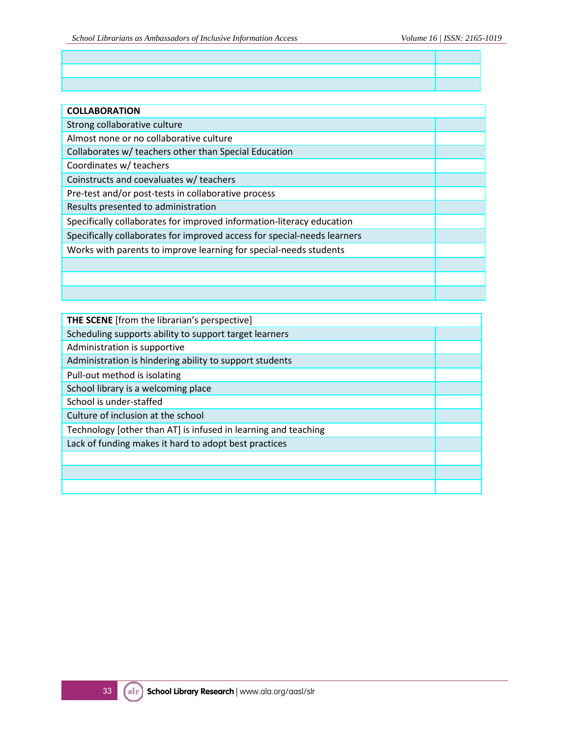| <b>COLLABORATION</b>                                                     |  |
|--------------------------------------------------------------------------|--|
| Strong collaborative culture                                             |  |
| Almost none or no collaborative culture                                  |  |
| Collaborates w/ teachers other than Special Education                    |  |
| Coordinates w/ teachers                                                  |  |
| Coinstructs and coevaluates w/ teachers                                  |  |
| Pre-test and/or post-tests in collaborative process                      |  |
| Results presented to administration                                      |  |
| Specifically collaborates for improved information-literacy education    |  |
| Specifically collaborates for improved access for special-needs learners |  |
| Works with parents to improve learning for special-needs students        |  |
|                                                                          |  |
|                                                                          |  |
|                                                                          |  |

| <b>THE SCENE</b> [from the librarian's perspective]            |  |  |
|----------------------------------------------------------------|--|--|
| Scheduling supports ability to support target learners         |  |  |
| Administration is supportive                                   |  |  |
| Administration is hindering ability to support students        |  |  |
| Pull-out method is isolating                                   |  |  |
| School library is a welcoming place                            |  |  |
| School is under-staffed                                        |  |  |
| Culture of inclusion at the school                             |  |  |
| Technology [other than AT] is infused in learning and teaching |  |  |
| Lack of funding makes it hard to adopt best practices          |  |  |
|                                                                |  |  |
|                                                                |  |  |
|                                                                |  |  |